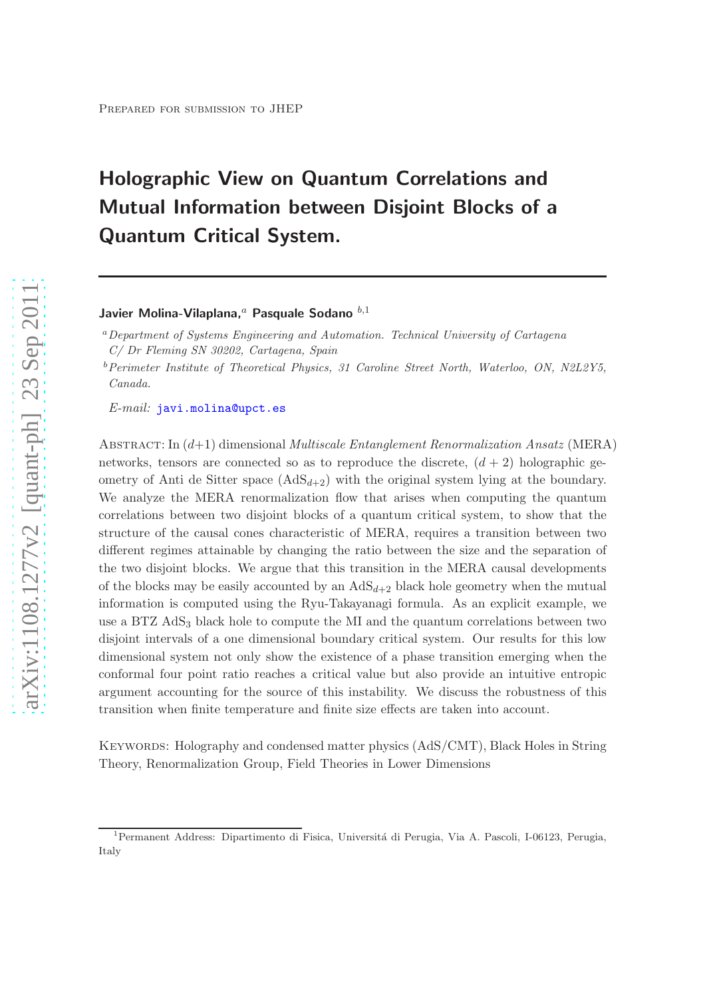# Holographic View on Quantum Correlations and Mutual Information between Disjoint Blocks of a Quantum Critical System.

# Javier Molina-Vilaplana, $a$  Pasquale Sodano  $b,1$

<sup>a</sup>Department of Systems Engineering and Automation. Technical University of Cartagena C/ Dr Fleming SN 30202, Cartagena, Spain

 $b$ Perimeter Institute of Theoretical Physics, 31 Caroline Street North, Waterloo, ON, N2L2Y5, Canada.

E-mail: [javi.molina@upct.es](mailto:javi.molina@upct.es)

ABSTRACT: In  $(d+1)$  dimensional *Multiscale Entanglement Renormalization Ansatz* (MERA) networks, tensors are connected so as to reproduce the discrete,  $(d+2)$  holographic geometry of Anti de Sitter space  $(AdS_{d+2})$  with the original system lying at the boundary. We analyze the MERA renormalization flow that arises when computing the quantum correlations between two disjoint blocks of a quantum critical system, to show that the structure of the causal cones characteristic of MERA, requires a transition between two different regimes attainable by changing the ratio between the size and the separation of the two disjoint blocks. We argue that this transition in the MERA causal developments of the blocks may be easily accounted by an  $AdS_{d+2}$  black hole geometry when the mutual information is computed using the Ryu-Takayanagi formula. As an explicit example, we use a BTZ AdS<sup>3</sup> black hole to compute the MI and the quantum correlations between two disjoint intervals of a one dimensional boundary critical system. Our results for this low dimensional system not only show the existence of a phase transition emerging when the conformal four point ratio reaches a critical value but also provide an intuitive entropic argument accounting for the source of this instability. We discuss the robustness of this transition when finite temperature and finite size effects are taken into account.

Keywords: Holography and condensed matter physics (AdS/CMT), Black Holes in String Theory, Renormalization Group, Field Theories in Lower Dimensions

<sup>&</sup>lt;sup>1</sup> Permanent Address: Dipartimento di Fisica, Università di Perugia, Via A. Pascoli, I-06123, Perugia, Italy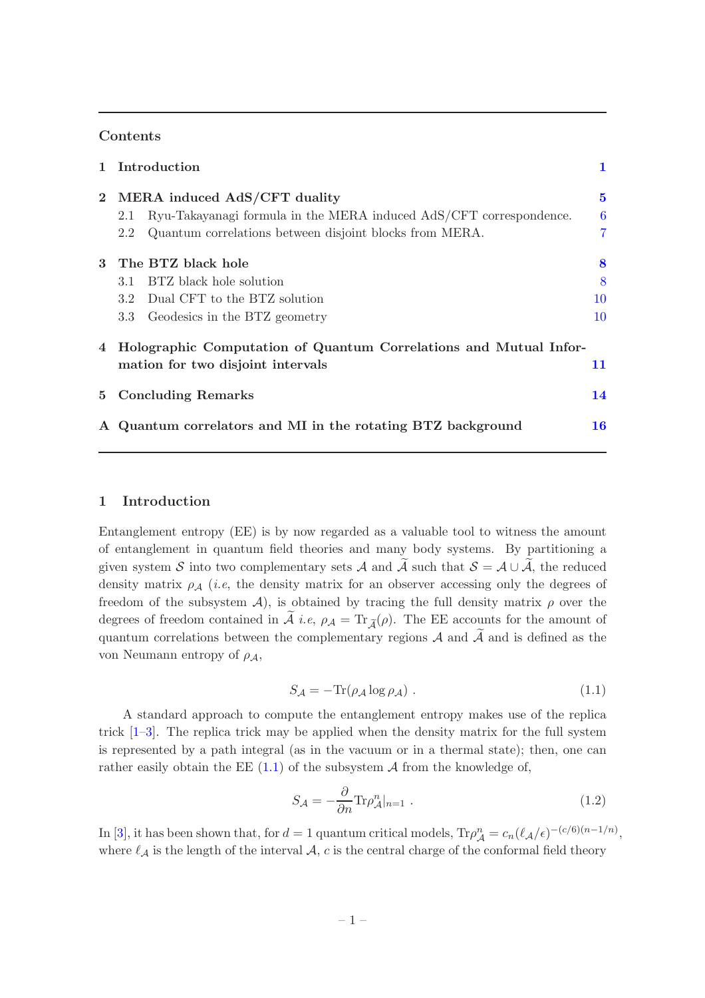## Contents

|                | 1 Introduction                                                    |                                                                    | 1         |  |
|----------------|-------------------------------------------------------------------|--------------------------------------------------------------------|-----------|--|
|                | 2 MERA induced AdS/CFT duality                                    |                                                                    | $\bf{5}$  |  |
|                | 2.1                                                               | Ryu-Takayanagi formula in the MERA induced AdS/CFT correspondence. | 6         |  |
|                | 2.2                                                               | Quantum correlations between disjoint blocks from MERA.            | 7         |  |
| $\mathbf{3}$   | The BTZ black hole                                                |                                                                    | 8         |  |
|                | 3.1                                                               | BTZ black hole solution                                            | 8         |  |
|                |                                                                   | 3.2 Dual CFT to the BTZ solution                                   | 10        |  |
|                |                                                                   | 3.3 Geodesics in the BTZ geometry                                  | 10        |  |
| $\overline{4}$ | Holographic Computation of Quantum Correlations and Mutual Infor- |                                                                    |           |  |
|                |                                                                   | mation for two disjoint intervals                                  | 11        |  |
| $5^{\circ}$    | <b>Concluding Remarks</b>                                         |                                                                    | 14        |  |
| ${\bf A}$      | Quantum correlators and MI in the rotating BTZ background         |                                                                    | <b>16</b> |  |

## <span id="page-1-0"></span>1 Introduction

Entanglement entropy (EE) is by now regarded as a valuable tool to witness the amount of entanglement in quantum field theories and many body systems. By partitioning a given system S into two complementary sets A and  $\tilde{\mathcal{A}}$  such that  $\mathcal{S} = \mathcal{A} \cup \tilde{\mathcal{A}}$ , the reduced density matrix  $\rho_A$  (*i.e.*, the density matrix for an observer accessing only the degrees of freedom of the subsystem  $\mathcal{A}$ ), is obtained by tracing the full density matrix  $\rho$  over the degrees of freedom contained in  $\tilde{A}$  *i.e,*  $\rho_A = \text{Tr}_{\tilde{A}}(\rho)$ . The EE accounts for the amount of quantum correlations between the complementary regions  $A$  and  $\tilde{A}$  and is defined as the von Neumann entropy of  $\rho_A$ ,

<span id="page-1-1"></span>
$$
S_{\mathcal{A}} = -\text{Tr}(\rho_{\mathcal{A}} \log \rho_{\mathcal{A}}). \tag{1.1}
$$

A standard approach to compute the entanglement entropy makes use of the replica trick  $[1-3]$ . The replica trick may be applied when the density matrix for the full system is represented by a path integral (as in the vacuum or in a thermal state); then, one can rather easily obtain the EE  $(1.1)$  of the subsystem A from the knowledge of,

<span id="page-1-2"></span>
$$
S_{\mathcal{A}} = -\frac{\partial}{\partial n} \text{Tr} \rho_{\mathcal{A}}^n |_{n=1} . \tag{1.2}
$$

In [\[3](#page-18-1)], it has been shown that, for  $d = 1$  quantum critical models,  $\text{Tr}\rho_{\mathcal{A}}^n = c_n(\ell_{\mathcal{A}}/\epsilon)^{-(c/6)(n-1/n)}$ , where  $\ell_A$  is the length of the interval  $A$ , c is the central charge of the conformal field theory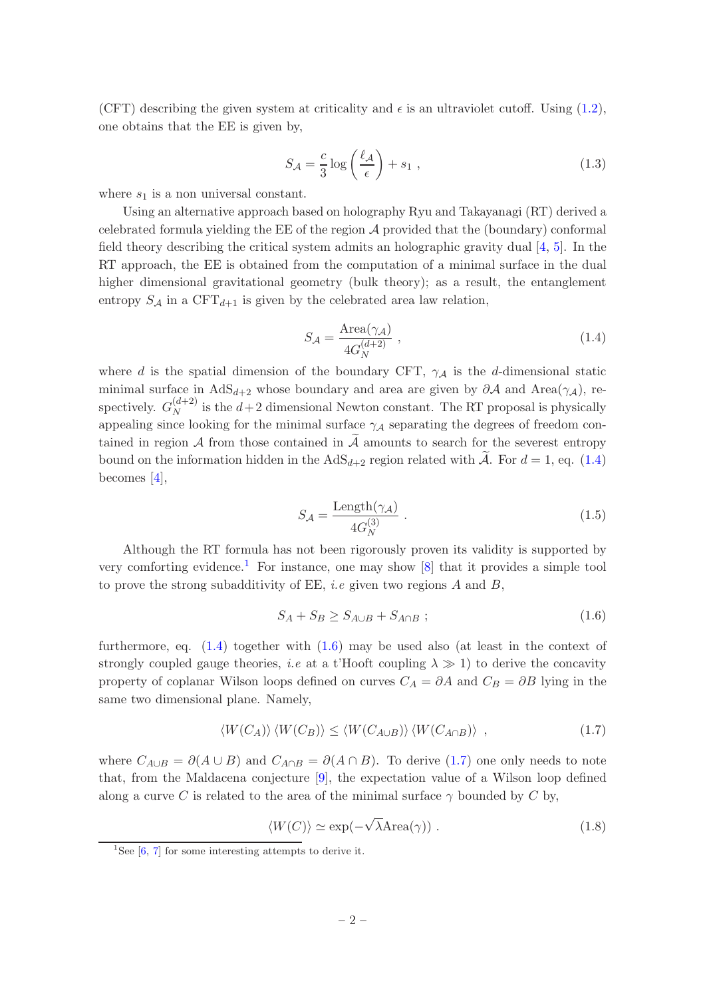(CFT) describing the given system at criticality and  $\epsilon$  is an ultraviolet cutoff. Using [\(1.2\)](#page-1-2), one obtains that the EE is given by,

$$
S_{\mathcal{A}} = \frac{c}{3} \log \left( \frac{\ell_{\mathcal{A}}}{\epsilon} \right) + s_1 , \qquad (1.3)
$$

where  $s_1$  is a non universal constant.

Using an alternative approach based on holography Ryu and Takayanagi (RT) derived a celebrated formula yielding the EE of the region  $A$  provided that the (boundary) conformal field theory describing the critical system admits an holographic gravity dual [\[4,](#page-18-2) [5\]](#page-18-3). In the RT approach, the EE is obtained from the computation of a minimal surface in the dual higher dimensional gravitational geometry (bulk theory); as a result, the entanglement entropy  $S_A$  in a CFT<sub>d+1</sub> is given by the celebrated area law relation,

<span id="page-2-0"></span>
$$
S_{\mathcal{A}} = \frac{\text{Area}(\gamma_{\mathcal{A}})}{4G_N^{(d+2)}} \,, \tag{1.4}
$$

where d is the spatial dimension of the boundary CFT,  $\gamma_A$  is the d-dimensional static minimal surface in  $AdS_{d+2}$  whose boundary and area are given by  $\partial A$  and  $Area(\gamma_{\mathcal{A}})$ , respectively.  $G_N^{(d+2)}$  $N^{(d+2)}$  is the  $d+2$  dimensional Newton constant. The RT proposal is physically appealing since looking for the minimal surface  $\gamma_A$  separating the degrees of freedom contained in region  $A$  from those contained in  $\tilde{A}$  amounts to search for the severest entropy bound on the information hidden in the  $AdS_{d+2}$  region related with  $\tilde{A}$ . For  $d = 1$ , eq. [\(1.4\)](#page-2-0) becomes [\[4](#page-18-2)],

<span id="page-2-5"></span>
$$
S_{\mathcal{A}} = \frac{\text{Length}(\gamma_{\mathcal{A}})}{4G_N^{(3)}}\,. \tag{1.5}
$$

Although the RT formula has not been rigorously proven its validity is supported by very comforting evidence.<sup>[1](#page-2-1)</sup> For instance, one may show  $[8]$  that it provides a simple tool to prove the strong subadditivity of EE, *i.e* given two regions  $A$  and  $B$ ,

<span id="page-2-2"></span>
$$
S_A + S_B \geq S_{A \cup B} + S_{A \cap B} ; \qquad (1.6)
$$

furthermore, eq.  $(1.4)$  together with  $(1.6)$  may be used also (at least in the context of strongly coupled gauge theories, *i.e* at a t'Hooft coupling  $\lambda \gg 1$ ) to derive the concavity property of coplanar Wilson loops defined on curves  $C_A = \partial A$  and  $C_B = \partial B$  lying in the same two dimensional plane. Namely,

<span id="page-2-3"></span>
$$
\langle W(C_A) \rangle \langle W(C_B) \rangle \le \langle W(C_{A \cup B}) \rangle \langle W(C_{A \cap B}) \rangle , \qquad (1.7)
$$

where  $C_{A\cup B} = \partial(A \cup B)$  and  $C_{A\cap B} = \partial(A \cap B)$ . To derive [\(1.7\)](#page-2-3) one only needs to note that, from the Maldacena conjecture [\[9](#page-19-1)], the expectation value of a Wilson loop defined along a curve C is related to the area of the minimal surface  $\gamma$  bounded by C by,

<span id="page-2-4"></span> $\langle W(C) \rangle \simeq \exp(-\sqrt{\lambda} \text{Area}(\gamma)).$  (1.8)

<span id="page-2-1"></span><sup>&</sup>lt;sup>1</sup>See  $[6, 7]$  $[6, 7]$  for some interesting attempts to derive it.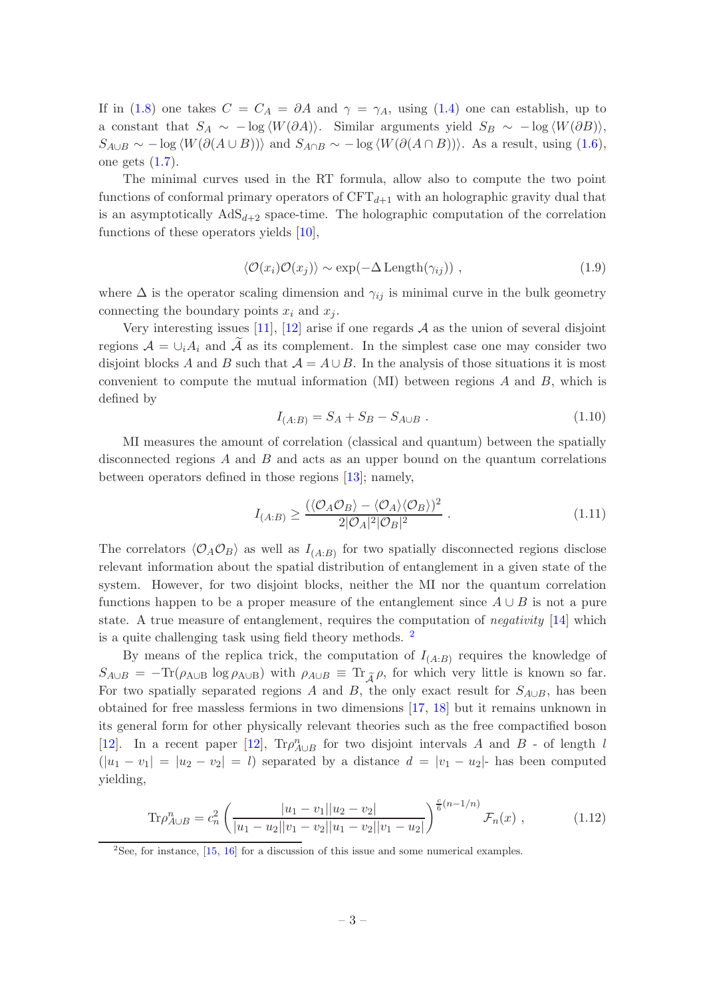If in [\(1.8\)](#page-2-4) one takes  $C = C_A = \partial A$  and  $\gamma = \gamma_A$ , using [\(1.4\)](#page-2-0) one can establish, up to a constant that  $S_A \sim -\log \langle W(\partial A) \rangle$ . Similar arguments yield  $S_B \sim -\log \langle W(\partial B) \rangle$ ,  $S_{A\cup B} \sim -\log \langle W(\partial (A \cup B)) \rangle$  and  $S_{A\cap B} \sim -\log \langle W(\partial (A \cap B)) \rangle$ . As a result, using [\(1.6\)](#page-2-2), one gets  $(1.7)$ .

The minimal curves used in the RT formula, allow also to compute the two point functions of conformal primary operators of  $CFT_{d+1}$  with an holographic gravity dual that is an asymptotically  $AdS_{d+2}$  space-time. The holographic computation of the correlation functions of these operators yields [\[10\]](#page-19-3),

$$
\langle \mathcal{O}(x_i)\mathcal{O}(x_j)\rangle \sim \exp(-\Delta \operatorname{Length}(\gamma_{ij})) , \qquad (1.9)
$$

where  $\Delta$  is the operator scaling dimension and  $\gamma_{ij}$  is minimal curve in the bulk geometry connecting the boundary points  $x_i$  and  $x_j$ .

Very interesting issues [\[11](#page-19-4)], [\[12\]](#page-19-5) arise if one regards  $A$  as the union of several disjoint regions  $\mathcal{A} = \bigcup_i A_i$  and  $\mathcal A$  as its complement. In the simplest case one may consider two disjoint blocks A and B such that  $\mathcal{A} = A \cup B$ . In the analysis of those situations it is most convenient to compute the mutual information  $(MI)$  between regions A and B, which is defined by

$$
I_{(A:B)} = S_A + S_B - S_{A \cup B} . \tag{1.10}
$$

MI measures the amount of correlation (classical and quantum) between the spatially disconnected regions  $A$  and  $B$  and acts as an upper bound on the quantum correlations between operators defined in those regions [\[13](#page-19-6)]; namely,

<span id="page-3-2"></span>
$$
I_{(A:B)} \ge \frac{(\langle \mathcal{O}_A \mathcal{O}_B \rangle - \langle \mathcal{O}_A \rangle \langle \mathcal{O}_B \rangle)^2}{2|\mathcal{O}_A|^2|\mathcal{O}_B|^2} \,. \tag{1.11}
$$

The correlators  $\langle \mathcal{O}_A \mathcal{O}_B \rangle$  as well as  $I_{(A:B)}$  for two spatially disconnected regions disclose relevant information about the spatial distribution of entanglement in a given state of the system. However, for two disjoint blocks, neither the MI nor the quantum correlation functions happen to be a proper measure of the entanglement since  $A \cup B$  is not a pure state. A true measure of entanglement, requires the computation of *negativity* [\[14](#page-19-7)] which is a quite challenging task using field theory methods. [2](#page-3-0)

By means of the replica trick, the computation of  $I_{(A:B)}$  requires the knowledge of  $S_{A\cup B} = -\text{Tr}(\rho_{A\cup B} \log \rho_{A\cup B})$  with  $\rho_{A\cup B} \equiv \text{Tr}_{\tilde{A}} \rho$ , for which very little is known so far. For two spatially separated regions A and B, the only exact result for  $S_{A\cup B}$ , has been obtained for free massless fermions in two dimensions [\[17](#page-19-8), [18](#page-19-9)] but it remains unknown in its general form for other physically relevant theories such as the free compactified boson [\[12](#page-19-5)]. In a recent paper [\[12](#page-19-5)],  $\text{Tr}\rho_{A\cup B}^n$  for two disjoint intervals A and B - of length l  $(|u_1 - v_1| = |u_2 - v_2| = l)$  separated by a distance  $d = |v_1 - u_2|$ - has been computed yielding,

<span id="page-3-1"></span>
$$
\text{Tr}\rho_{A\cup B}^n = c_n^2 \left( \frac{|u_1 - v_1||u_2 - v_2|}{|u_1 - u_2||v_1 - v_2||u_1 - v_2||v_1 - u_2|} \right)^{\frac{c}{6}(n-1/n)} \mathcal{F}_n(x) , \qquad (1.12)
$$

<span id="page-3-0"></span><sup>2</sup>See, for instance, [\[15](#page-19-10), [16](#page-19-11)] for a discussion of this issue and some numerical examples.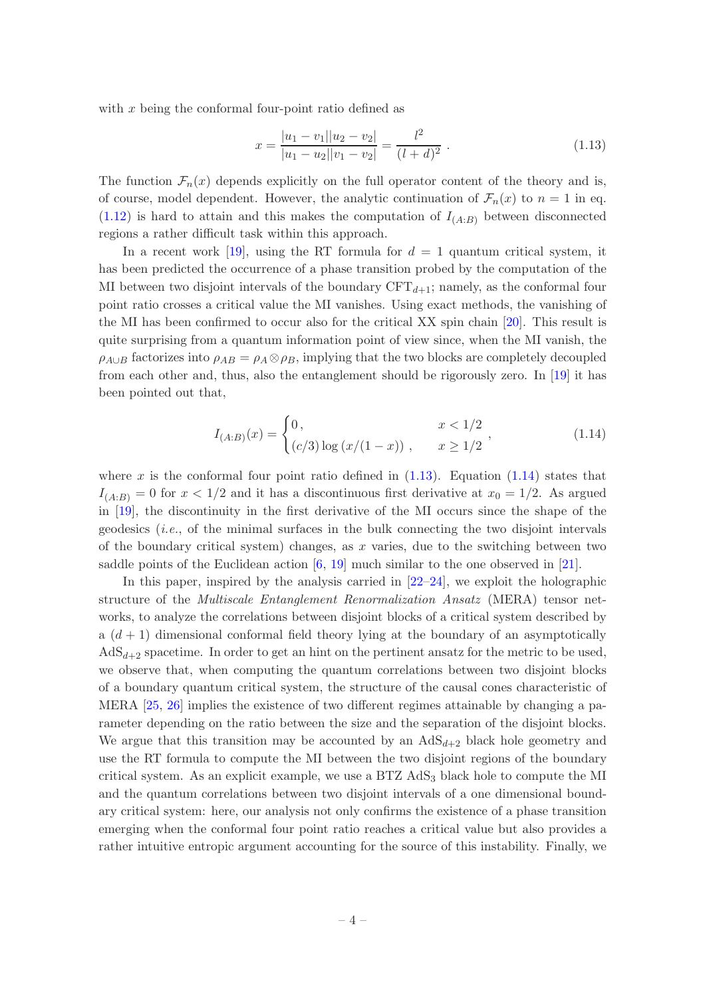with  $x$  being the conformal four-point ratio defined as

<span id="page-4-0"></span>
$$
x = \frac{|u_1 - v_1||u_2 - v_2|}{|u_1 - u_2||v_1 - v_2|} = \frac{l^2}{(l + d)^2}.
$$
\n(1.13)

The function  $\mathcal{F}_n(x)$  depends explicitly on the full operator content of the theory and is, of course, model dependent. However, the analytic continuation of  $\mathcal{F}_n(x)$  to  $n = 1$  in eq.  $(1.12)$  is hard to attain and this makes the computation of  $I_{(A:B)}$  between disconnected regions a rather difficult task within this approach.

In a recent work [\[19](#page-19-12)], using the RT formula for  $d = 1$  quantum critical system, it has been predicted the occurrence of a phase transition probed by the computation of the MI between two disjoint intervals of the boundary  $CFT_{d+1}$ ; namely, as the conformal four point ratio crosses a critical value the MI vanishes. Using exact methods, the vanishing of the MI has been confirmed to occur also for the critical XX spin chain [\[20](#page-19-13)]. This result is quite surprising from a quantum information point of view since, when the MI vanish, the  $\rho_{A\cup B}$  factorizes into  $\rho_{AB} = \rho_A \otimes \rho_B$ , implying that the two blocks are completely decoupled from each other and, thus, also the entanglement should be rigorously zero. In [\[19](#page-19-12)] it has been pointed out that,

<span id="page-4-1"></span>
$$
I_{(A:B)}(x) = \begin{cases} 0, & x < 1/2 \\ (c/3) \log (x/(1-x)), & x \ge 1/2 \end{cases},
$$
 (1.14)

where x is the conformal four point ratio defined in  $(1.13)$ . Equation  $(1.14)$  states that  $I_{(A:B)} = 0$  for  $x < 1/2$  and it has a discontinuous first derivative at  $x_0 = 1/2$ . As argued in [\[19](#page-19-12)], the discontinuity in the first derivative of the MI occurs since the shape of the geodesics  $(i.e.,$  of the minimal surfaces in the bulk connecting the two disjoint intervals of the boundary critical system) changes, as  $x$  varies, due to the switching between two saddle points of the Euclidean action [\[6](#page-18-4), [19\]](#page-19-12) much similar to the one observed in [\[21](#page-19-14)].

In this paper, inspired by the analysis carried in  $[22-24]$ , we exploit the holographic structure of the Multiscale Entanglement Renormalization Ansatz (MERA) tensor networks, to analyze the correlations between disjoint blocks of a critical system described by a  $(d + 1)$  dimensional conformal field theory lying at the boundary of an asymptotically  $AdS_{d+2}$  spacetime. In order to get an hint on the pertinent ansatz for the metric to be used, we observe that, when computing the quantum correlations between two disjoint blocks of a boundary quantum critical system, the structure of the causal cones characteristic of MERA [\[25](#page-19-17), [26\]](#page-19-18) implies the existence of two different regimes attainable by changing a parameter depending on the ratio between the size and the separation of the disjoint blocks. We argue that this transition may be accounted by an  $AdS_{d+2}$  black hole geometry and use the RT formula to compute the MI between the two disjoint regions of the boundary critical system. As an explicit example, we use a  $BTZ AdS<sub>3</sub>$  black hole to compute the MI and the quantum correlations between two disjoint intervals of a one dimensional boundary critical system: here, our analysis not only confirms the existence of a phase transition emerging when the conformal four point ratio reaches a critical value but also provides a rather intuitive entropic argument accounting for the source of this instability. Finally, we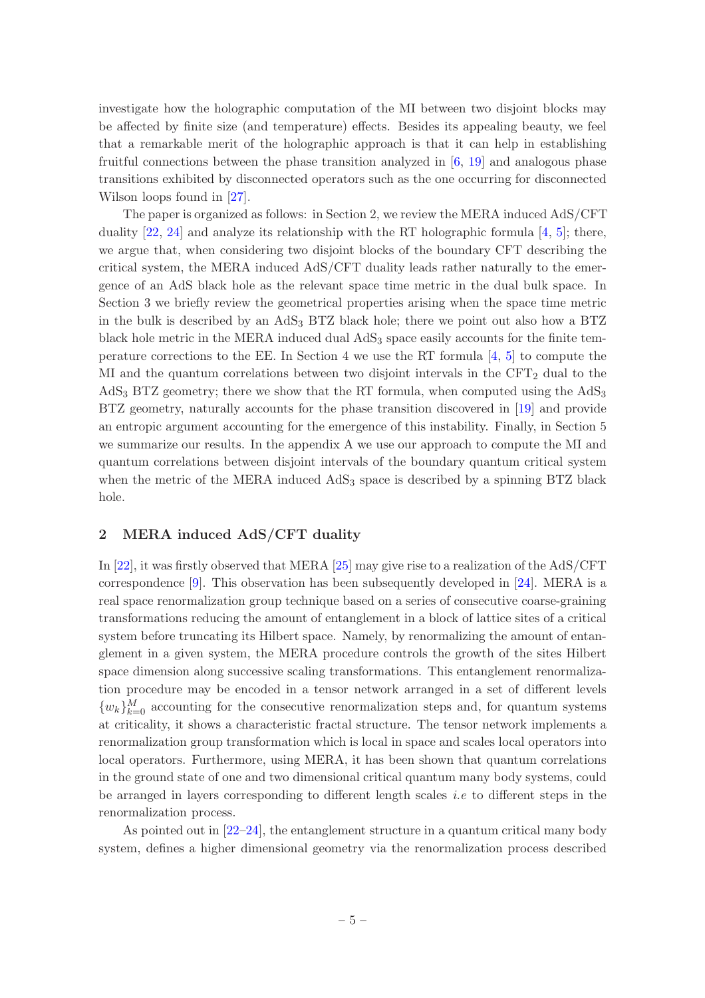investigate how the holographic computation of the MI between two disjoint blocks may be affected by finite size (and temperature) effects. Besides its appealing beauty, we feel that a remarkable merit of the holographic approach is that it can help in establishing fruitful connections between the phase transition analyzed in  $[6, 19]$  $[6, 19]$  $[6, 19]$  and analogous phase transitions exhibited by disconnected operators such as the one occurring for disconnected Wilson loops found in [\[27](#page-19-19)].

The paper is organized as follows: in Section 2, we review the MERA induced AdS/CFT duality  $[22, 24]$  $[22, 24]$  and analyze its relationship with the RT holographic formula  $[4, 5]$  $[4, 5]$ ; there, we argue that, when considering two disjoint blocks of the boundary CFT describing the critical system, the MERA induced AdS/CFT duality leads rather naturally to the emergence of an AdS black hole as the relevant space time metric in the dual bulk space. In Section 3 we briefly review the geometrical properties arising when the space time metric in the bulk is described by an  $AdS_3$  BTZ black hole; there we point out also how a BTZ black hole metric in the MERA induced dual  $AdS<sub>3</sub>$  space easily accounts for the finite temperature corrections to the EE. In Section 4 we use the RT formula [\[4,](#page-18-2) [5](#page-18-3)] to compute the MI and the quantum correlations between two disjoint intervals in the  $CFT<sub>2</sub>$  dual to the  $AdS<sub>3</sub> BTZ geometry$ ; there we show that the RT formula, when computed using the  $AdS<sub>3</sub>$ BTZ geometry, naturally accounts for the phase transition discovered in [\[19](#page-19-12)] and provide an entropic argument accounting for the emergence of this instability. Finally, in Section 5 we summarize our results. In the appendix A we use our approach to compute the MI and quantum correlations between disjoint intervals of the boundary quantum critical system when the metric of the MERA induced AdS<sub>3</sub> space is described by a spinning BTZ black hole.

## <span id="page-5-0"></span>2 MERA induced AdS/CFT duality

In [\[22\]](#page-19-15), it was firstly observed that MERA [\[25](#page-19-17)] may give rise to a realization of the AdS/CFT correspondence [\[9\]](#page-19-1). This observation has been subsequently developed in [\[24\]](#page-19-16). MERA is a real space renormalization group technique based on a series of consecutive coarse-graining transformations reducing the amount of entanglement in a block of lattice sites of a critical system before truncating its Hilbert space. Namely, by renormalizing the amount of entanglement in a given system, the MERA procedure controls the growth of the sites Hilbert space dimension along successive scaling transformations. This entanglement renormalization procedure may be encoded in a tensor network arranged in a set of different levels  ${w_k}_{k=0}^M$  accounting for the consecutive renormalization steps and, for quantum systems at criticality, it shows a characteristic fractal structure. The tensor network implements a renormalization group transformation which is local in space and scales local operators into local operators. Furthermore, using MERA, it has been shown that quantum correlations in the ground state of one and two dimensional critical quantum many body systems, could be arranged in layers corresponding to different length scales i.e to different steps in the renormalization process.

As pointed out in [\[22](#page-19-15)[–24](#page-19-16)], the entanglement structure in a quantum critical many body system, defines a higher dimensional geometry via the renormalization process described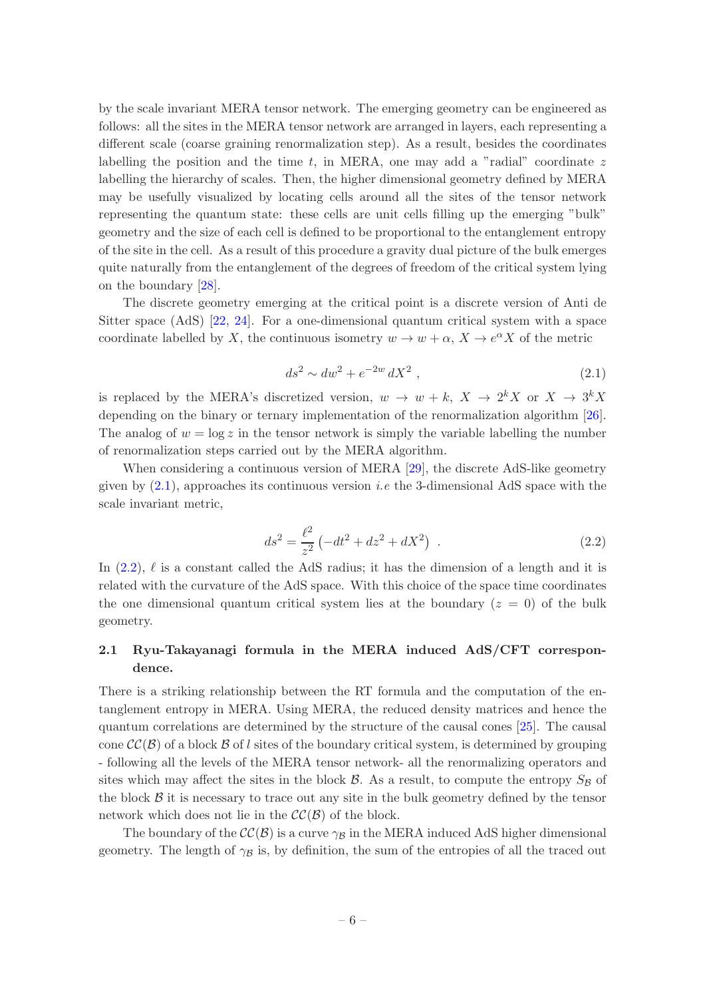by the scale invariant MERA tensor network. The emerging geometry can be engineered as follows: all the sites in the MERA tensor network are arranged in layers, each representing a different scale (coarse graining renormalization step). As a result, besides the coordinates labelling the position and the time  $t$ , in MERA, one may add a "radial" coordinate  $z$ labelling the hierarchy of scales. Then, the higher dimensional geometry defined by MERA may be usefully visualized by locating cells around all the sites of the tensor network representing the quantum state: these cells are unit cells filling up the emerging "bulk" geometry and the size of each cell is defined to be proportional to the entanglement entropy of the site in the cell. As a result of this procedure a gravity dual picture of the bulk emerges quite naturally from the entanglement of the degrees of freedom of the critical system lying on the boundary [\[28](#page-19-20)].

The discrete geometry emerging at the critical point is a discrete version of Anti de Sitter space (AdS) [\[22,](#page-19-15) [24\]](#page-19-16). For a one-dimensional quantum critical system with a space coordinate labelled by X, the continuous isometry  $w \to w + \alpha$ ,  $X \to e^{\alpha} X$  of the metric

<span id="page-6-1"></span>
$$
ds^2 \sim dw^2 + e^{-2w} dX^2 \t\t(2.1)
$$

is replaced by the MERA's discretized version,  $w \to w + k$ ,  $X \to 2^k X$  or  $X \to 3^k X$ depending on the binary or ternary implementation of the renormalization algorithm [\[26\]](#page-19-18). The analog of  $w = \log z$  in the tensor network is simply the variable labelling the number of renormalization steps carried out by the MERA algorithm.

When considering a continuous version of MERA [\[29\]](#page-20-0), the discrete AdS-like geometry given by  $(2.1)$ , approaches its continuous version *i.e* the 3-dimensional AdS space with the scale invariant metric,

<span id="page-6-2"></span>
$$
ds^{2} = \frac{\ell^{2}}{z^{2}} \left( -dt^{2} + dz^{2} + dX^{2} \right) .
$$
 (2.2)

In  $(2.2)$ ,  $\ell$  is a constant called the AdS radius; it has the dimension of a length and it is related with the curvature of the AdS space. With this choice of the space time coordinates the one dimensional quantum critical system lies at the boundary  $(z = 0)$  of the bulk geometry.

# <span id="page-6-0"></span>2.1 Ryu-Takayanagi formula in the MERA induced AdS/CFT correspondence.

There is a striking relationship between the RT formula and the computation of the entanglement entropy in MERA. Using MERA, the reduced density matrices and hence the quantum correlations are determined by the structure of the causal cones [\[25\]](#page-19-17). The causal cone  $\mathcal{CC}(\mathcal{B})$  of a block  $\mathcal{B}$  of l sites of the boundary critical system, is determined by grouping - following all the levels of the MERA tensor network- all the renormalizing operators and sites which may affect the sites in the block  $\beta$ . As a result, to compute the entropy  $S_{\beta}$  of the block  $\beta$  it is necessary to trace out any site in the bulk geometry defined by the tensor network which does not lie in the  $\mathcal{CC}(\mathcal{B})$  of the block.

The boundary of the  $\mathcal{CC}(\mathcal{B})$  is a curve  $\gamma_{\mathcal{B}}$  in the MERA induced AdS higher dimensional geometry. The length of  $\gamma_B$  is, by definition, the sum of the entropies of all the traced out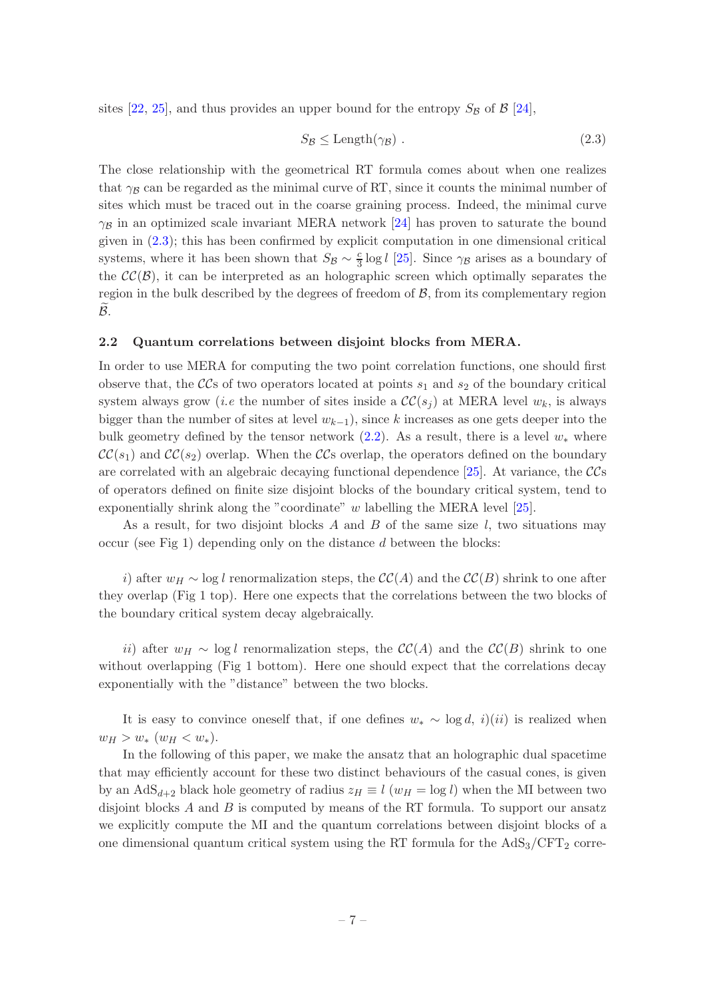sites [\[22,](#page-19-15) [25](#page-19-17)], and thus provides an upper bound for the entropy  $S_B$  of  $\beta$  [\[24](#page-19-16)],

<span id="page-7-1"></span>
$$
S_{\mathcal{B}} \leq \text{Length}(\gamma_{\mathcal{B}}) \tag{2.3}
$$

The close relationship with the geometrical RT formula comes about when one realizes that  $\gamma_B$  can be regarded as the minimal curve of RT, since it counts the minimal number of sites which must be traced out in the coarse graining process. Indeed, the minimal curve  $\gamma_B$  in an optimized scale invariant MERA network [\[24](#page-19-16)] has proven to saturate the bound given in [\(2.3\)](#page-7-1); this has been confirmed by explicit computation in one dimensional critical systems, where it has been shown that  $S_B \sim \frac{c}{3}$  $\frac{c}{3}$  log *l* [\[25](#page-19-17)]. Since  $\gamma_B$  arises as a boundary of the  $\mathcal{CC}(\mathcal{B})$ , it can be interpreted as an holographic screen which optimally separates the region in the bulk described by the degrees of freedom of  $\beta$ , from its complementary region  $\mathcal{B}$ .

#### <span id="page-7-0"></span>2.2 Quantum correlations between disjoint blocks from MERA.

In order to use MERA for computing the two point correlation functions, one should first observe that, the  $\mathcal{C}\mathcal{C}$ s of two operators located at points  $s_1$  and  $s_2$  of the boundary critical system always grow (*i.e* the number of sites inside a  $\mathcal{CC}(s_i)$  at MERA level  $w_k$ , is always bigger than the number of sites at level  $w_{k-1}$ , since k increases as one gets deeper into the bulk geometry defined by the tensor network  $(2.2)$ . As a result, there is a level  $w_*$  where  $\mathcal{CC}(s_1)$  and  $\mathcal{CC}(s_2)$  overlap. When the CCs overlap, the operators defined on the boundary are correlated with an algebraic decaying functional dependence  $[25]$ . At variance, the  $\mathcal{CC}s$ of operators defined on finite size disjoint blocks of the boundary critical system, tend to exponentially shrink along the "coordinate" w labelling the MERA level [\[25\]](#page-19-17).

As a result, for two disjoint blocks A and B of the same size  $l$ , two situations may occur (see Fig 1) depending only on the distance  $d$  between the blocks:

i) after  $w_H \sim \log l$  renormalization steps, the  $\mathcal{CC}(A)$  and the  $\mathcal{CC}(B)$  shrink to one after they overlap (Fig 1 top). Here one expects that the correlations between the two blocks of the boundary critical system decay algebraically.

ii) after  $w_H \sim \log l$  renormalization steps, the  $\mathcal{CC}(A)$  and the  $\mathcal{CC}(B)$  shrink to one without overlapping (Fig 1 bottom). Here one should expect that the correlations decay exponentially with the "distance" between the two blocks.

It is easy to convince oneself that, if one defines  $w_* \sim \log d$ , i)(ii) is realized when  $w_H > w_*$   $(w_H < w_*)$ .

In the following of this paper, we make the ansatz that an holographic dual spacetime that may efficiently account for these two distinct behaviours of the casual cones, is given by an AdS<sub>d+2</sub> black hole geometry of radius  $z_H \equiv l$  ( $w_H = \log l$ ) when the MI between two disjoint blocks  $A$  and  $B$  is computed by means of the RT formula. To support our ansatz we explicitly compute the MI and the quantum correlations between disjoint blocks of a one dimensional quantum critical system using the RT formula for the  $AdS_3/CFT_2$  corre-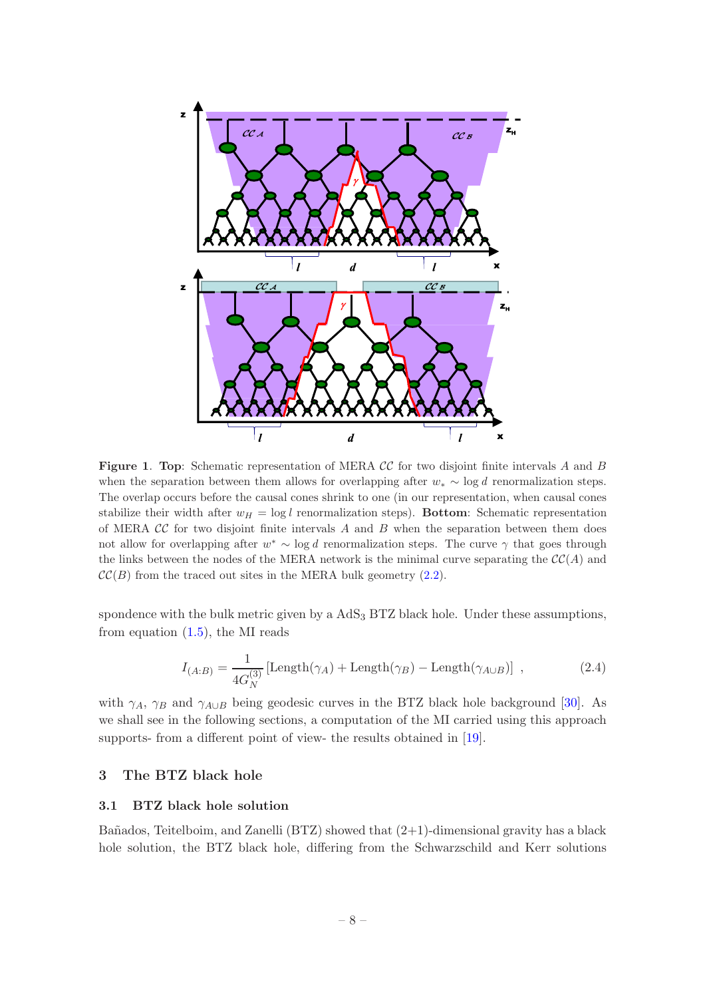

Figure 1. Top: Schematic representation of MERA CC for two disjoint finite intervals A and B when the separation between them allows for overlapping after  $w_* \sim \log d$  renormalization steps. The overlap occurs before the causal cones shrink to one (in our representation, when causal cones stabilize their width after  $w_H = \log l$  renormalization steps). Bottom: Schematic representation of MERA  $\mathcal{CC}$  for two disjoint finite intervals A and B when the separation between them does not allow for overlapping after  $w^* \sim \log d$  renormalization steps. The curve  $\gamma$  that goes through the links between the nodes of the MERA network is the minimal curve separating the  $\mathcal{CC}(A)$  and  $\mathcal{CC}(B)$  from the traced out sites in the MERA bulk geometry [\(2.2\)](#page-6-2).

spondence with the bulk metric given by a  $AdS_3$  BTZ black hole. Under these assumptions, from equation  $(1.5)$ , the MI reads

<span id="page-8-2"></span>
$$
I_{(A:B)} = \frac{1}{4G_N^{(3)}} \left[ \text{Length}(\gamma_A) + \text{Length}(\gamma_B) - \text{Length}(\gamma_{A \cup B}) \right] , \qquad (2.4)
$$

with  $\gamma_A$ ,  $\gamma_B$  and  $\gamma_{A\cup B}$  being geodesic curves in the BTZ black hole background [\[30](#page-20-1)]. As we shall see in the following sections, a computation of the MI carried using this approach supports- from a different point of view- the results obtained in [\[19](#page-19-12)].

## <span id="page-8-1"></span><span id="page-8-0"></span>3 The BTZ black hole

#### 3.1 BTZ black hole solution

Bañados, Teitelboim, and Zanelli  $(BTZ)$  showed that  $(2+1)$ -dimensional gravity has a black hole solution, the BTZ black hole, differing from the Schwarzschild and Kerr solutions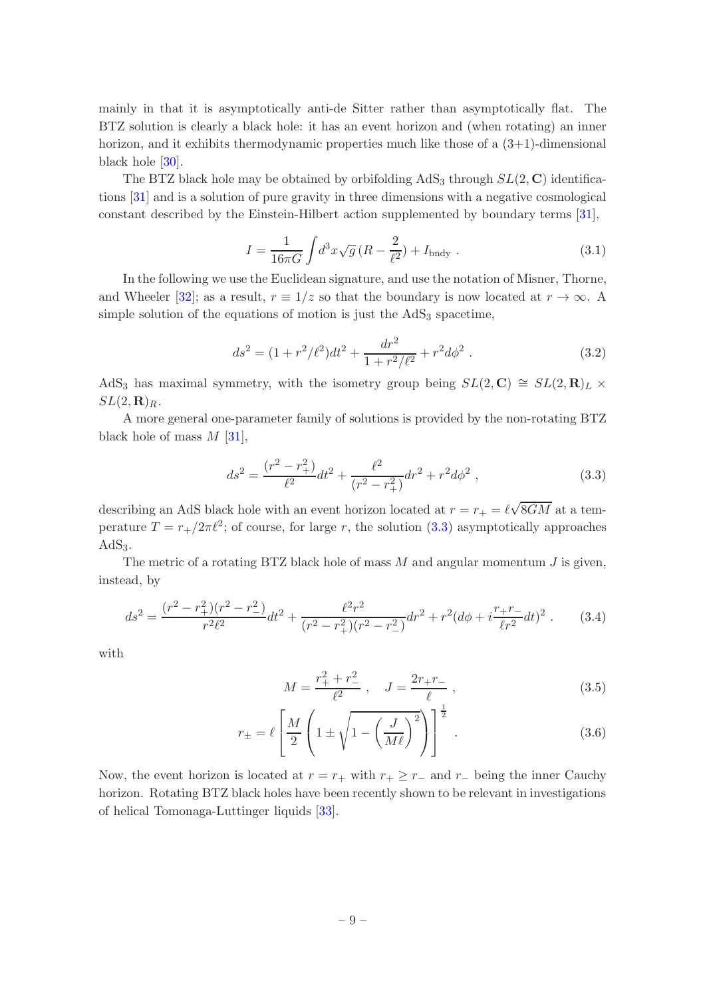mainly in that it is asymptotically anti-de Sitter rather than asymptotically flat. The BTZ solution is clearly a black hole: it has an event horizon and (when rotating) an inner horizon, and it exhibits thermodynamic properties much like those of a  $(3+1)$ -dimensional black hole [\[30\]](#page-20-1).

The BTZ black hole may be obtained by orbifolding  $AdS<sub>3</sub>$  through  $SL(2, \mathbb{C})$  identifications [\[31](#page-20-2)] and is a solution of pure gravity in three dimensions with a negative cosmological constant described by the Einstein-Hilbert action supplemented by boundary terms [\[31\]](#page-20-2),

$$
I = \frac{1}{16\pi G} \int d^3x \sqrt{g} \left( R - \frac{2}{\ell^2} \right) + I_{\text{bndy}} \,. \tag{3.1}
$$

In the following we use the Euclidean signature, and use the notation of Misner, Thorne, and Wheeler [\[32\]](#page-20-3); as a result,  $r \equiv 1/z$  so that the boundary is now located at  $r \to \infty$ . A simple solution of the equations of motion is just the  $AdS<sub>3</sub>$  spacetime,

<span id="page-9-1"></span>
$$
ds^{2} = (1 + r^{2}/\ell^{2})dt^{2} + \frac{dr^{2}}{1 + r^{2}/\ell^{2}} + r^{2}d\phi^{2}.
$$
 (3.2)

AdS<sub>3</sub> has maximal symmetry, with the isometry group being  $SL(2, \mathbb{C}) \cong SL(2, \mathbb{R})_L \times$  $SL(2,\mathbf{R})_R$ .

A more general one-parameter family of solutions is provided by the non-rotating BTZ black hole of mass  $M$  [\[31](#page-20-2)],

<span id="page-9-0"></span>
$$
ds^{2} = \frac{(r^{2} - r_{+}^{2})}{\ell^{2}} dt^{2} + \frac{\ell^{2}}{(r^{2} - r_{+}^{2})} dr^{2} + r^{2} d\phi^{2} , \qquad (3.3)
$$

describing an AdS black hole with an event horizon located at  $r = r_+ = \ell \sqrt{8GM}$  at a temperature  $T = r_{+}/2\pi \ell^{2}$ ; of course, for large r, the solution [\(3.3\)](#page-9-0) asymptotically approaches  $AdS<sub>3</sub>$ .

The metric of a rotating BTZ black hole of mass  $M$  and angular momentum  $J$  is given, instead, by

$$
ds^{2} = \frac{(r^{2} - r_{+}^{2})(r^{2} - r_{-}^{2})}{r^{2}\ell^{2}}dt^{2} + \frac{\ell^{2}r^{2}}{(r^{2} - r_{+}^{2})(r^{2} - r_{-}^{2})}dr^{2} + r^{2}(d\phi + i\frac{r_{+}r_{-}}{\ell r^{2}}dt)^{2}.
$$
 (3.4)

with

$$
M = \frac{r_+^2 + r_-^2}{\ell^2} \,, \quad J = \frac{2r_+r_-}{\ell} \,, \tag{3.5}
$$

$$
r_{\pm} = \ell \left[ \frac{M}{2} \left( 1 \pm \sqrt{1 - \left( \frac{J}{M\ell} \right)^2} \right) \right]^{\frac{1}{2}}.
$$
 (3.6)

Now, the event horizon is located at  $r = r_+$  with  $r_+ \geq r_-$  and  $r_-$  being the inner Cauchy horizon. Rotating BTZ black holes have been recently shown to be relevant in investigations of helical Tomonaga-Luttinger liquids [\[33](#page-20-4)].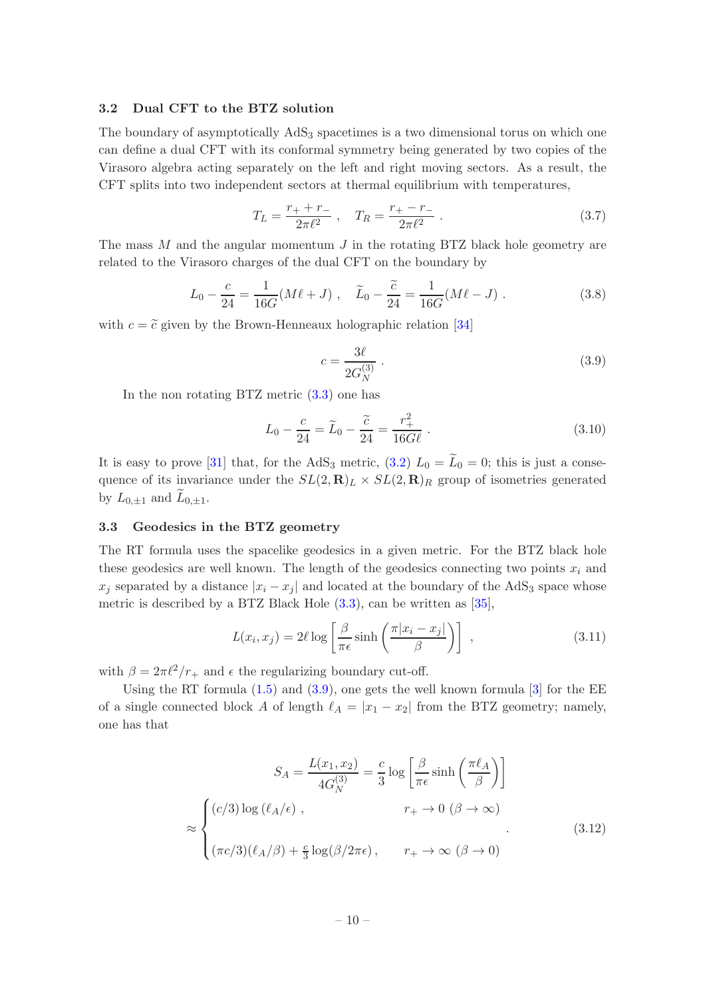#### <span id="page-10-0"></span>3.2 Dual CFT to the BTZ solution

The boundary of asymptotically AdS<sub>3</sub> spacetimes is a two dimensional torus on which one can define a dual CFT with its conformal symmetry being generated by two copies of the Virasoro algebra acting separately on the left and right moving sectors. As a result, the CFT splits into two independent sectors at thermal equilibrium with temperatures,

$$
T_L = \frac{r_+ + r_-}{2\pi \ell^2} \,, \quad T_R = \frac{r_+ - r_-}{2\pi \ell^2} \,. \tag{3.7}
$$

The mass  $M$  and the angular momentum  $J$  in the rotating BTZ black hole geometry are related to the Virasoro charges of the dual CFT on the boundary by

$$
L_0 - \frac{c}{24} = \frac{1}{16G}(M\ell + J) , \quad \tilde{L}_0 - \frac{\tilde{c}}{24} = \frac{1}{16G}(M\ell - J) .
$$
 (3.8)

with  $c = \tilde{c}$  given by the Brown-Henneaux holographic relation [\[34](#page-20-5)]

<span id="page-10-2"></span>
$$
c = \frac{3\ell}{2G_N^{(3)}}\,. \tag{3.9}
$$

In the non rotating BTZ metric [\(3.3\)](#page-9-0) one has

$$
L_0 - \frac{c}{24} = \widetilde{L}_0 - \frac{\widetilde{c}}{24} = \frac{r_+^2}{16G\ell} \ . \tag{3.10}
$$

It is easy to prove [\[31](#page-20-2)] that, for the AdS<sub>3</sub> metric, [\(3.2\)](#page-9-1)  $L_0 = \widetilde{L}_0 = 0$ ; this is just a consequence of its invariance under the  $SL(2,\mathbf{R})_L \times SL(2,\mathbf{R})_R$  group of isometries generated by  $L_{0,\pm 1}$  and  $L_{0,\pm 1}$ .

#### <span id="page-10-1"></span>3.3 Geodesics in the BTZ geometry

The RT formula uses the spacelike geodesics in a given metric. For the BTZ black hole these geodesics are well known. The length of the geodesics connecting two points  $x_i$  and  $x_j$  separated by a distance  $|x_i - x_j|$  and located at the boundary of the AdS<sub>3</sub> space whose metric is described by a BTZ Black Hole [\(3.3\)](#page-9-0), can be written as [\[35](#page-20-6)],

<span id="page-10-4"></span>
$$
L(x_i, x_j) = 2\ell \log \left[ \frac{\beta}{\pi \epsilon} \sinh \left( \frac{\pi |x_i - x_j|}{\beta} \right) \right] , \qquad (3.11)
$$

with  $\beta = 2\pi \ell^2/r_+$  and  $\epsilon$  the regularizing boundary cut-off.

Using the RT formula  $(1.5)$  and  $(3.9)$ , one gets the well known formula  $[3]$  for the EE of a single connected block A of length  $\ell_A = |x_1 - x_2|$  from the BTZ geometry; namely, one has that

<span id="page-10-3"></span>
$$
S_A = \frac{L(x_1, x_2)}{4G_N^{(3)}} = \frac{c}{3} \log \left[ \frac{\beta}{\pi \epsilon} \sinh \left( \frac{\pi \ell_A}{\beta} \right) \right]
$$

$$
\approx \begin{cases} (c/3) \log (\ell_A/\epsilon) , & r_+ \to 0 \ (\beta \to \infty) \\ (\pi c/3)(\ell_A/\beta) + \frac{c}{3} \log(\beta/2\pi \epsilon) , & r_+ \to \infty \ (\beta \to 0) \end{cases} (3.12)
$$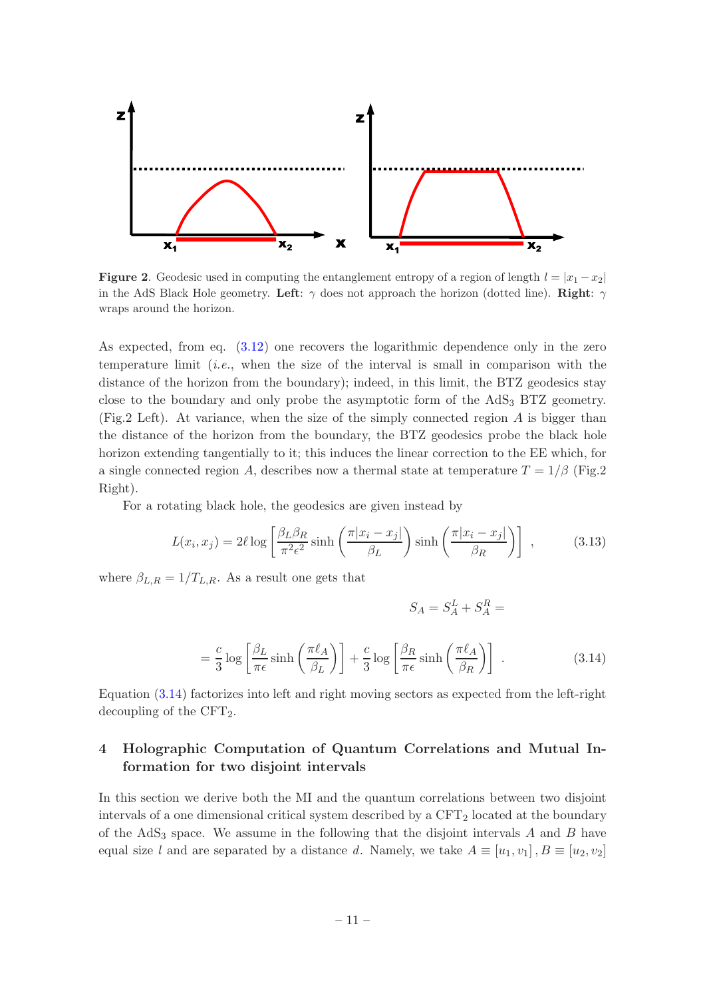

**Figure 2.** Geodesic used in computing the entanglement entropy of a region of length  $l = |x_1 - x_2|$ in the AdS Black Hole geometry. Left:  $\gamma$  does not approach the horizon (dotted line). Right:  $\gamma$ wraps around the horizon.

As expected, from eq. [\(3.12\)](#page-10-3) one recovers the logarithmic dependence only in the zero temperature limit *(i.e.,* when the size of the interval is small in comparison with the distance of the horizon from the boundary); indeed, in this limit, the BTZ geodesics stay close to the boundary and only probe the asymptotic form of the AdS<sub>3</sub> BTZ geometry. (Fig.2 Left). At variance, when the size of the simply connected region  $A$  is bigger than the distance of the horizon from the boundary, the BTZ geodesics probe the black hole horizon extending tangentially to it; this induces the linear correction to the EE which, for a single connected region A, describes now a thermal state at temperature  $T = 1/\beta$  (Fig.2) Right).

For a rotating black hole, the geodesics are given instead by

<span id="page-11-2"></span>
$$
L(x_i, x_j) = 2\ell \log \left[ \frac{\beta_L \beta_R}{\pi^2 \epsilon^2} \sinh \left( \frac{\pi |x_i - x_j|}{\beta_L} \right) \sinh \left( \frac{\pi |x_i - x_j|}{\beta_R} \right) \right] , \qquad (3.13)
$$

where  $\beta_{L,R} = 1/T_{L,R}$ . As a result one gets that

<span id="page-11-1"></span>
$$
S_A = S_A^L + S_A^R =
$$

$$
= \frac{c}{3} \log \left[ \frac{\beta_L}{\pi \epsilon} \sinh \left( \frac{\pi \ell_A}{\beta_L} \right) \right] + \frac{c}{3} \log \left[ \frac{\beta_R}{\pi \epsilon} \sinh \left( \frac{\pi \ell_A}{\beta_R} \right) \right] \,. \tag{3.14}
$$

Equation [\(3.14\)](#page-11-1) factorizes into left and right moving sectors as expected from the left-right decoupling of the  $CFT<sub>2</sub>$ .

# <span id="page-11-0"></span>4 Holographic Computation of Quantum Correlations and Mutual Information for two disjoint intervals

In this section we derive both the MI and the quantum correlations between two disjoint intervals of a one dimensional critical system described by a  $CFT<sub>2</sub>$  located at the boundary of the  $AdS<sub>3</sub>$  space. We assume in the following that the disjoint intervals A and B have equal size l and are separated by a distance d. Namely, we take  $A \equiv [u_1, v_1], B \equiv [u_2, v_2]$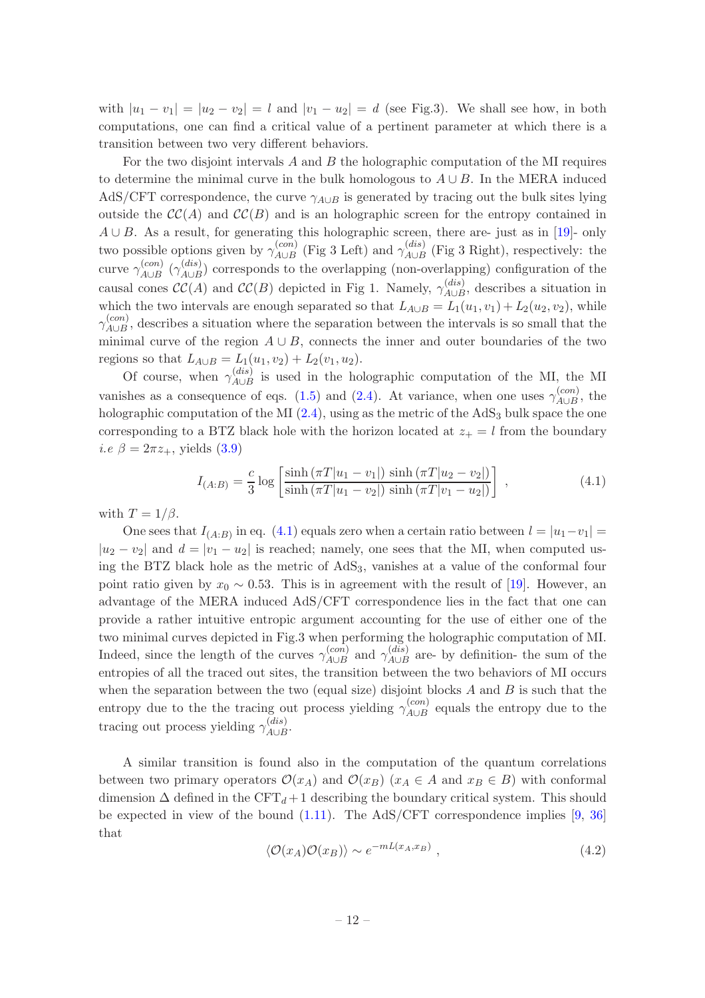with  $|u_1 - v_1| = |u_2 - v_2| = l$  and  $|v_1 - u_2| = d$  (see Fig.3). We shall see how, in both computations, one can find a critical value of a pertinent parameter at which there is a transition between two very different behaviors.

For the two disjoint intervals  $A$  and  $B$  the holographic computation of the MI requires to determine the minimal curve in the bulk homologous to  $A \cup B$ . In the MERA induced AdS/CFT correspondence, the curve  $\gamma_{A\cup B}$  is generated by tracing out the bulk sites lying outside the  $\mathcal{CC}(A)$  and  $\mathcal{CC}(B)$  and is an holographic screen for the entropy contained in  $A \cup B$ . As a result, for generating this holographic screen, there are- just as in [\[19](#page-19-12)]- only two possible options given by  $\gamma_{A\cup B}^{(con)}$  (Fig 3 Left) and  $\gamma_{A\cup B}^{(dis)}$  (Fig 3 Right), respectively: the curve  $\gamma_{A\cup B}^{(con)}$  ( $\gamma_{A\cup B}^{(dis)}$ ) corresponds to the overlapping (non-overlapping) configuration of the causal cones  $\mathcal{CC}(A)$  and  $\mathcal{CC}(B)$  depicted in Fig 1. Namely,  $\gamma_{A\cup B}^{(dis)}$ , describes a situation in which the two intervals are enough separated so that  $L_{A\cup B} = L_1(u_1, v_1) + L_2(u_2, v_2)$ , while  $\gamma_{A\cup B}^{(con)}$ , describes a situation where the separation between the intervals is so small that the minimal curve of the region  $A \cup B$ , connects the inner and outer boundaries of the two regions so that  $L_{A\cup B} = L_1(u_1, v_2) + L_2(v_1, u_2)$ .

Of course, when  $\gamma_{A\cup B}^{(dis)}$  is used in the holographic computation of the MI, the MI vanishes as a consequence of eqs. [\(1.5\)](#page-2-5) and [\(2.4\)](#page-8-2). At variance, when one uses  $\gamma_{A\cup B}^{(con)}$ , the holographic computation of the MI  $(2.4)$ , using as the metric of the AdS<sub>3</sub> bulk space the one corresponding to a BTZ black hole with the horizon located at  $z_+ = l$  from the boundary *i.e*  $\beta = 2\pi z_+$ , yields [\(3.9\)](#page-10-2)

<span id="page-12-0"></span>
$$
I_{(A:B)} = \frac{c}{3} \log \left[ \frac{\sinh (\pi T |u_1 - v_1|) \sinh (\pi T |u_2 - v_2|)}{\sinh (\pi T |u_1 - v_2|) \sinh (\pi T |v_1 - u_2|)} \right],
$$
(4.1)

with  $T = 1/\beta$ .

One sees that  $I_{(A:B)}$  in eq. [\(4.1\)](#page-12-0) equals zero when a certain ratio between  $l = |u_1 - v_1| =$  $|u_2 - v_2|$  and  $d = |v_1 - u_2|$  is reached; namely, one sees that the MI, when computed using the BTZ black hole as the metric of  $AdS_3$ , vanishes at a value of the conformal four point ratio given by  $x_0 \sim 0.53$ . This is in agreement with the result of [\[19](#page-19-12)]. However, an advantage of the MERA induced AdS/CFT correspondence lies in the fact that one can provide a rather intuitive entropic argument accounting for the use of either one of the two minimal curves depicted in Fig.3 when performing the holographic computation of MI. Indeed, since the length of the curves  $\gamma_{A\cup B}^{(con)}$  and  $\gamma_{A\cup B}^{(dis)}$  are- by definition- the sum of the entropies of all the traced out sites, the transition between the two behaviors of MI occurs when the separation between the two (equal size) disjoint blocks  $A$  and  $B$  is such that the entropy due to the the tracing out process yielding  $\gamma_{A\cup B}^{(con)}$  equals the entropy due to the tracing out process yielding  $\gamma_{A\cup B}^{(dis)}$ .

A similar transition is found also in the computation of the quantum correlations between two primary operators  $\mathcal{O}(x_A)$  and  $\mathcal{O}(x_B)$  ( $x_A \in A$  and  $x_B \in B$ ) with conformal dimension  $\Delta$  defined in the CFT<sub>d</sub> + 1 describing the boundary critical system. This should be expected in view of the bound  $(1.11)$ . The AdS/CFT correspondence implies [\[9](#page-19-1), [36\]](#page-20-7) that

$$
\langle \mathcal{O}(x_A)\mathcal{O}(x_B)\rangle \sim e^{-mL(x_A, x_B)}, \qquad (4.2)
$$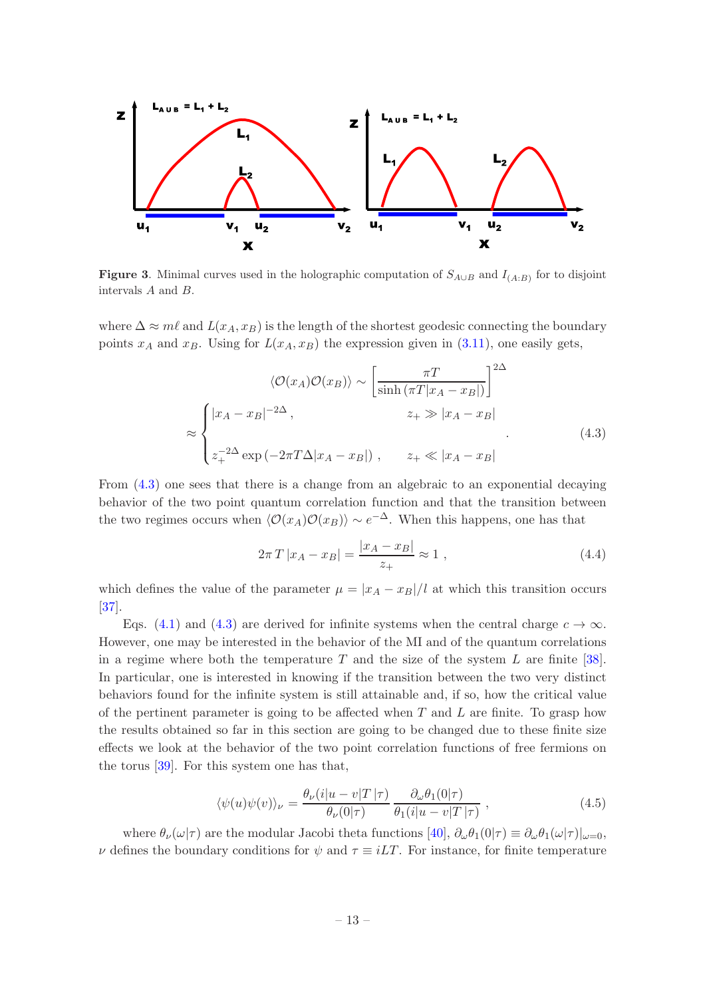

**Figure 3.** Minimal curves used in the holographic computation of  $S_{A\cup B}$  and  $I_{(A:B)}$  for to disjoint intervals A and B.

where  $\Delta \approx m\ell$  and  $L(x_A, x_B)$  is the length of the shortest geodesic connecting the boundary points  $x_A$  and  $x_B$ . Using for  $L(x_A, x_B)$  the expression given in [\(3.11\)](#page-10-4), one easily gets,

<span id="page-13-0"></span>
$$
\langle \mathcal{O}(x_A) \mathcal{O}(x_B) \rangle \sim \left[ \frac{\pi T}{\sinh \left( \pi T |x_A - x_B| \right)} \right]^{2\Delta}
$$

$$
\approx \begin{cases} |x_A - x_B|^{-2\Delta}, & z_+ \gg |x_A - x_B| \\ z_+^{-2\Delta} \exp\left( -2\pi T \Delta |x_A - x_B| \right), & z_+ \ll |x_A - x_B| \end{cases} \tag{4.3}
$$

From  $(4.3)$  one sees that there is a change from an algebraic to an exponential decaying behavior of the two point quantum correlation function and that the transition between the two regimes occurs when  $\langle \mathcal{O}(x_A)\mathcal{O}(x_B)\rangle \sim e^{-\Delta}$ . When this happens, one has that

$$
2\pi T |x_A - x_B| = \frac{|x_A - x_B|}{z_+} \approx 1 , \qquad (4.4)
$$

which defines the value of the parameter  $\mu = |x_A - x_B|/l$  at which this transition occurs [\[37](#page-20-8)].

Eqs. [\(4.1\)](#page-12-0) and [\(4.3\)](#page-13-0) are derived for infinite systems when the central charge  $c \to \infty$ . However, one may be interested in the behavior of the MI and of the quantum correlations in a regime where both the temperature  $T$  and the size of the system  $L$  are finite [\[38\]](#page-20-9). In particular, one is interested in knowing if the transition between the two very distinct behaviors found for the infinite system is still attainable and, if so, how the critical value of the pertinent parameter is going to be affected when  $T$  and  $L$  are finite. To grasp how the results obtained so far in this section are going to be changed due to these finite size effects we look at the behavior of the two point correlation functions of free fermions on the torus [\[39](#page-20-10)]. For this system one has that,

<span id="page-13-1"></span>
$$
\langle \psi(u)\psi(v)\rangle_{\nu} = \frac{\theta_{\nu}(i|u-v|T|\tau)}{\theta_{\nu}(0|\tau)} \frac{\partial_{\omega}\theta_{1}(0|\tau)}{\theta_{1}(i|u-v|T|\tau)}, \qquad (4.5)
$$

where  $\theta_{\nu}(\omega|\tau)$  are the modular Jacobi theta functions  $[40], \partial_{\omega}\theta_{1}(0|\tau) \equiv \partial_{\omega}\theta_{1}(\omega|\tau)|_{\omega=0}$ ,  $\nu$  defines the boundary conditions for  $\psi$  and  $\tau \equiv iLT$ . For instance, for finite temperature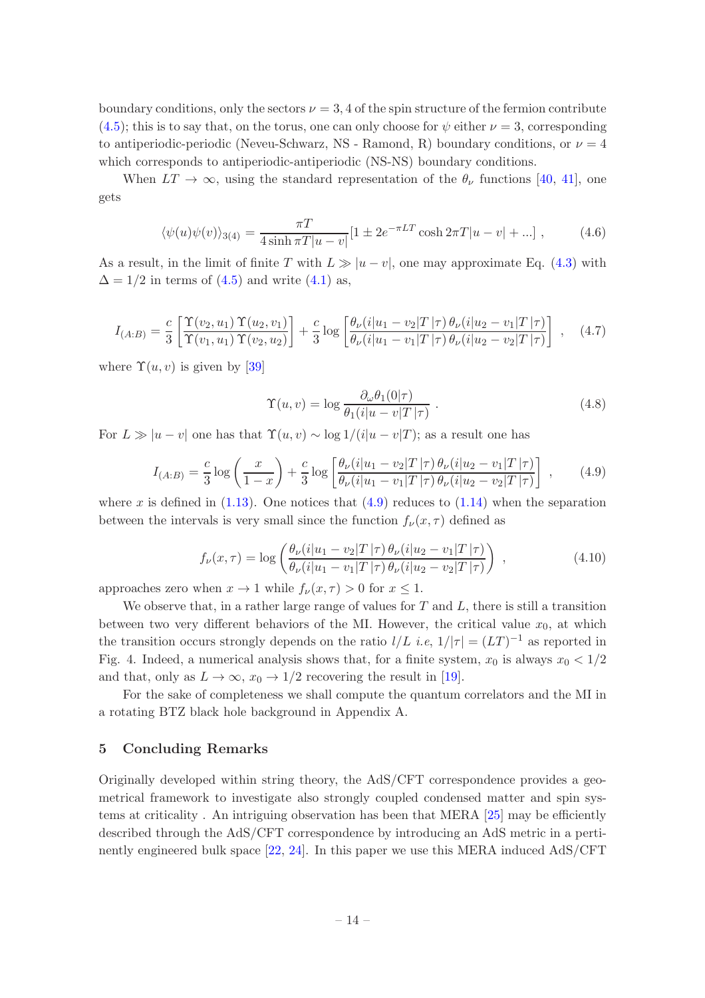boundary conditions, only the sectors  $\nu = 3, 4$  of the spin structure of the fermion contribute  $(4.5)$ ; this is to say that, on the torus, one can only choose for  $\psi$  either  $\nu = 3$ , corresponding to antiperiodic-periodic (Neveu-Schwarz, NS - Ramond, R) boundary conditions, or  $\nu = 4$ which corresponds to antiperiodic-antiperiodic (NS-NS) boundary conditions.

When  $LT \to \infty$ , using the standard representation of the  $\theta_{\nu}$  functions [\[40](#page-20-11), [41\]](#page-20-12), one gets

$$
\langle \psi(u)\psi(v)\rangle_{3(4)} = \frac{\pi T}{4\sinh \pi T|u - v|} [1 \pm 2e^{-\pi LT} \cosh 2\pi T|u - v| + \ldots], \quad (4.6)
$$

As a result, in the limit of finite T with  $L \gg |u - v|$ , one may approximate Eq. [\(4.3\)](#page-13-0) with  $\Delta = 1/2$  in terms of [\(4.5\)](#page-13-1) and write [\(4.1\)](#page-12-0) as,

$$
I_{(A:B)} = \frac{c}{3} \left[ \frac{\Upsilon(v_2, u_1) \Upsilon(u_2, v_1)}{\Upsilon(v_1, u_1) \Upsilon(v_2, u_2)} \right] + \frac{c}{3} \log \left[ \frac{\theta_{\nu}(i|u_1 - v_2|T|\tau) \theta_{\nu}(i|u_2 - v_1|T|\tau)}{\theta_{\nu}(i|u_1 - v_1|T|\tau) \theta_{\nu}(i|u_2 - v_2|T|\tau)} \right], \quad (4.7)
$$

where  $\Upsilon(u, v)$  is given by [\[39\]](#page-20-10)

$$
\Upsilon(u,v) = \log \frac{\partial_{\omega} \theta_1(0|\tau)}{\theta_1(i|u-v|T|\tau)}.
$$
\n(4.8)

For  $L \gg |u - v|$  one has that  $\Upsilon(u, v) \sim \log 1/(i|u - v|)$ ; as a result one has

<span id="page-14-1"></span>
$$
I_{(A:B)} = \frac{c}{3} \log \left( \frac{x}{1-x} \right) + \frac{c}{3} \log \left[ \frac{\theta_{\nu}(i|u_1 - v_2|T|\tau) \theta_{\nu}(i|u_2 - v_1|T|\tau)}{\theta_{\nu}(i|u_1 - v_1|T|\tau) \theta_{\nu}(i|u_2 - v_2|T|\tau)} \right],
$$
(4.9)

where x is defined in  $(1.13)$ . One notices that  $(4.9)$  reduces to  $(1.14)$  when the separation between the intervals is very small since the function  $f_{\nu}(x, \tau)$  defined as

$$
f_{\nu}(x,\tau) = \log \left( \frac{\theta_{\nu}(i|u_1 - v_2|T|\tau) \theta_{\nu}(i|u_2 - v_1|T|\tau)}{\theta_{\nu}(i|u_1 - v_1|T|\tau) \theta_{\nu}(i|u_2 - v_2|T|\tau)} \right) ,
$$
\n(4.10)

approaches zero when  $x \to 1$  while  $f_{\nu}(x, \tau) > 0$  for  $x \leq 1$ .

We observe that, in a rather large range of values for  $T$  and  $L$ , there is still a transition between two very different behaviors of the MI. However, the critical value  $x_0$ , at which the transition occurs strongly depends on the ratio  $l/L$  *i.e,*  $1/|\tau| = (LT)^{-1}$  as reported in Fig. 4. Indeed, a numerical analysis shows that, for a finite system,  $x_0$  is always  $x_0 < 1/2$ and that, only as  $L \to \infty$ ,  $x_0 \to 1/2$  recovering the result in [\[19](#page-19-12)].

For the sake of completeness we shall compute the quantum correlators and the MI in a rotating BTZ black hole background in Appendix A.

## <span id="page-14-0"></span>5 Concluding Remarks

Originally developed within string theory, the AdS/CFT correspondence provides a geometrical framework to investigate also strongly coupled condensed matter and spin systems at criticality . An intriguing observation has been that MERA [\[25](#page-19-17)] may be efficiently described through the AdS/CFT correspondence by introducing an AdS metric in a pertinently engineered bulk space [\[22](#page-19-15), [24\]](#page-19-16). In this paper we use this MERA induced AdS/CFT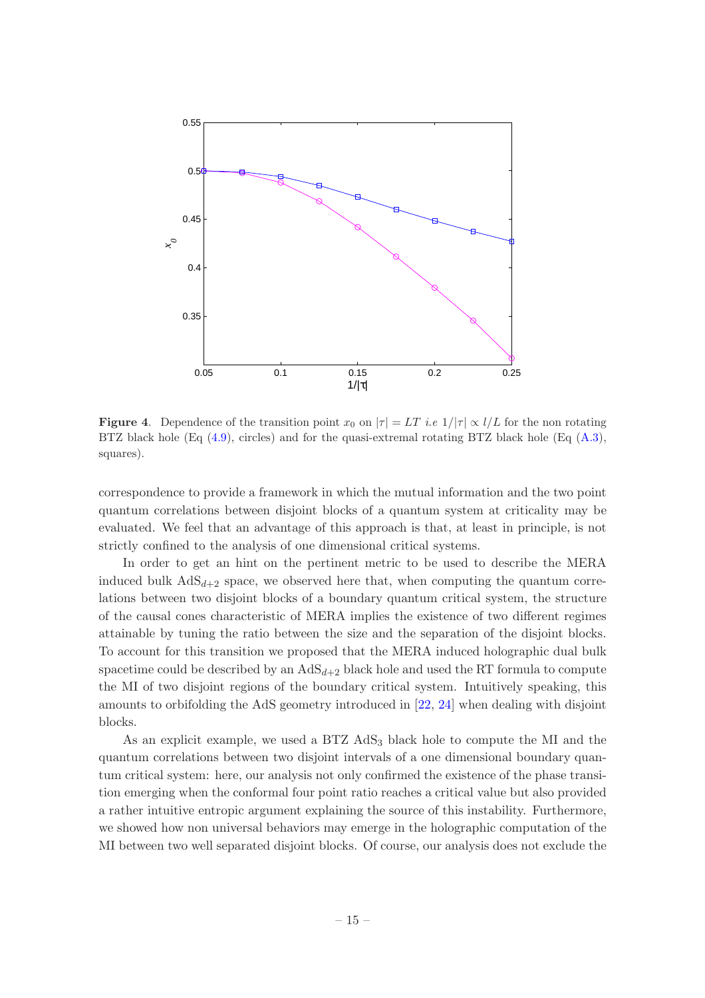

**Figure 4.** Dependence of the transition point  $x_0$  on  $|\tau| = LT$  i.e  $1/|\tau| \propto l/L$  for the non rotating BTZ black hole (Eq  $(4.9)$ , circles) and for the quasi-extremal rotating BTZ black hole (Eq  $(A.3)$ , squares).

correspondence to provide a framework in which the mutual information and the two point quantum correlations between disjoint blocks of a quantum system at criticality may be evaluated. We feel that an advantage of this approach is that, at least in principle, is not strictly confined to the analysis of one dimensional critical systems.

In order to get an hint on the pertinent metric to be used to describe the MERA induced bulk  $AdS_{d+2}$  space, we observed here that, when computing the quantum correlations between two disjoint blocks of a boundary quantum critical system, the structure of the causal cones characteristic of MERA implies the existence of two different regimes attainable by tuning the ratio between the size and the separation of the disjoint blocks. To account for this transition we proposed that the MERA induced holographic dual bulk spacetime could be described by an  $AdS_{d+2}$  black hole and used the RT formula to compute the MI of two disjoint regions of the boundary critical system. Intuitively speaking, this amounts to orbifolding the AdS geometry introduced in [\[22,](#page-19-15) [24\]](#page-19-16) when dealing with disjoint blocks.

As an explicit example, we used a BTZ AdS<sub>3</sub> black hole to compute the MI and the quantum correlations between two disjoint intervals of a one dimensional boundary quantum critical system: here, our analysis not only confirmed the existence of the phase transition emerging when the conformal four point ratio reaches a critical value but also provided a rather intuitive entropic argument explaining the source of this instability. Furthermore, we showed how non universal behaviors may emerge in the holographic computation of the MI between two well separated disjoint blocks. Of course, our analysis does not exclude the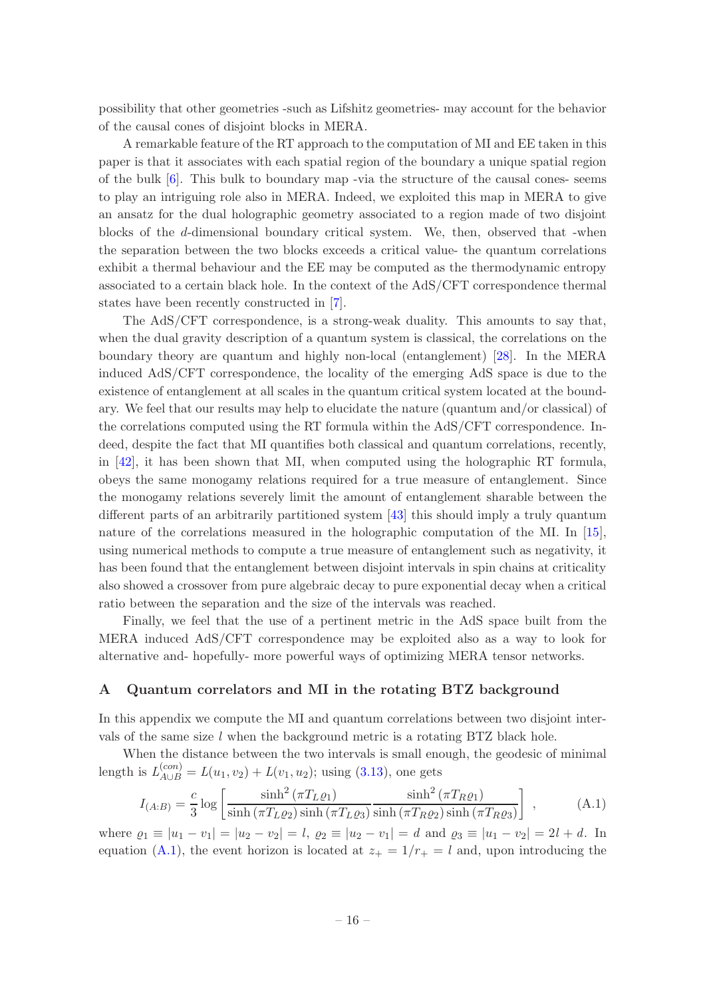possibility that other geometries -such as Lifshitz geometries- may account for the behavior of the causal cones of disjoint blocks in MERA.

A remarkable feature of the RT approach to the computation of MI and EE taken in this paper is that it associates with each spatial region of the boundary a unique spatial region of the bulk  $[6]$ . This bulk to boundary map -via the structure of the causal cones- seems to play an intriguing role also in MERA. Indeed, we exploited this map in MERA to give an ansatz for the dual holographic geometry associated to a region made of two disjoint blocks of the d-dimensional boundary critical system. We, then, observed that -when the separation between the two blocks exceeds a critical value- the quantum correlations exhibit a thermal behaviour and the EE may be computed as the thermodynamic entropy associated to a certain black hole. In the context of the AdS/CFT correspondence thermal states have been recently constructed in [\[7\]](#page-19-2).

The AdS/CFT correspondence, is a strong-weak duality. This amounts to say that, when the dual gravity description of a quantum system is classical, the correlations on the boundary theory are quantum and highly non-local (entanglement) [\[28\]](#page-19-20). In the MERA induced AdS/CFT correspondence, the locality of the emerging AdS space is due to the existence of entanglement at all scales in the quantum critical system located at the boundary. We feel that our results may help to elucidate the nature (quantum and/or classical) of the correlations computed using the RT formula within the AdS/CFT correspondence. Indeed, despite the fact that MI quantifies both classical and quantum correlations, recently, in [\[42](#page-20-13)], it has been shown that MI, when computed using the holographic RT formula, obeys the same monogamy relations required for a true measure of entanglement. Since the monogamy relations severely limit the amount of entanglement sharable between the different parts of an arbitrarily partitioned system [\[43](#page-20-14)] this should imply a truly quantum nature of the correlations measured in the holographic computation of the MI. In [\[15\]](#page-19-10), using numerical methods to compute a true measure of entanglement such as negativity, it has been found that the entanglement between disjoint intervals in spin chains at criticality also showed a crossover from pure algebraic decay to pure exponential decay when a critical ratio between the separation and the size of the intervals was reached.

Finally, we feel that the use of a pertinent metric in the AdS space built from the MERA induced AdS/CFT correspondence may be exploited also as a way to look for alternative and- hopefully- more powerful ways of optimizing MERA tensor networks.

#### <span id="page-16-0"></span>A Quantum correlators and MI in the rotating BTZ background

In this appendix we compute the MI and quantum correlations between two disjoint intervals of the same size  $l$  when the background metric is a rotating BTZ black hole.

When the distance between the two intervals is small enough, the geodesic of minimal length is  $L_{A\cup B}^{(con)} = L(u_1, v_2) + L(v_1, u_2)$ ; using [\(3.13\)](#page-11-2), one gets

<span id="page-16-1"></span>
$$
I_{(A:B)} = \frac{c}{3} \log \left[ \frac{\sinh^2 (\pi T_L \varrho_1)}{\sinh (\pi T_L \varrho_2) \sinh (\pi T_L \varrho_3)} \frac{\sinh^2 (\pi T_R \varrho_1)}{\sinh (\pi T_R \varrho_2) \sinh (\pi T_R \varrho_3)} \right],
$$
 (A.1)

where  $\varrho_1 \equiv |u_1 - v_1| = |u_2 - v_2| = l$ ,  $\varrho_2 \equiv |u_2 - v_1| = d$  and  $\varrho_3 \equiv |u_1 - v_2| = 2l + d$ . In equation [\(A.1\)](#page-16-1), the event horizon is located at  $z_+ = 1/r_+ = l$  and, upon introducing the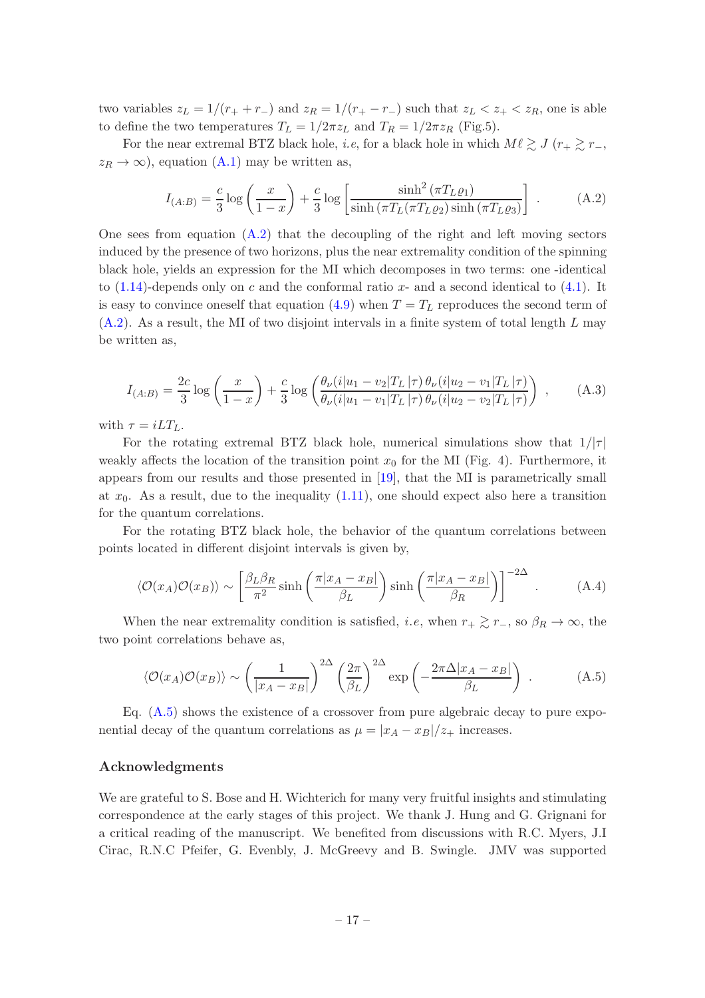two variables  $z_L = 1/(r_+ + r_-)$  and  $z_R = 1/(r_+ - r_-)$  such that  $z_L < z_+ < z_R$ , one is able to define the two temperatures  $T_L = 1/2\pi z_L$  and  $T_R = 1/2\pi z_R$  (Fig.5).

For the near extremal BTZ black hole, *i.e*, for a black hole in which  $M\ell \gtrsim J$  ( $r_{+} \gtrsim r_{-}$ ,  $z_R \to \infty$ , equation [\(A.1\)](#page-16-1) may be written as,

<span id="page-17-1"></span>
$$
I_{(A:B)} = \frac{c}{3} \log \left( \frac{x}{1-x} \right) + \frac{c}{3} \log \left[ \frac{\sinh^2 \left( \pi T_L \varrho_1 \right)}{\sinh \left( \pi T_L (\pi T_L \varrho_2) \sinh \left( \pi T_L \varrho_3 \right) \right)} \right]. \tag{A.2}
$$

One sees from equation  $(A.2)$  that the decoupling of the right and left moving sectors induced by the presence of two horizons, plus the near extremality condition of the spinning black hole, yields an expression for the MI which decomposes in two terms: one -identical to  $(1.14)$ -depends only on c and the conformal ratio x- and a second identical to  $(4.1)$ . It is easy to convince oneself that equation [\(4.9\)](#page-14-1) when  $T = T<sub>L</sub>$  reproduces the second term of  $(A.2)$ . As a result, the MI of two disjoint intervals in a finite system of total length L may be written as,

<span id="page-17-0"></span>
$$
I_{(A:B)} = \frac{2c}{3} \log \left( \frac{x}{1-x} \right) + \frac{c}{3} \log \left( \frac{\theta_{\nu}(i|u_1 - v_2|T_L|\tau) \theta_{\nu}(i|u_2 - v_1|T_L|\tau)}{\theta_{\nu}(i|u_1 - v_1|T_L|\tau) \theta_{\nu}(i|u_2 - v_2|T_L|\tau)} \right) , \quad (A.3)
$$

with  $\tau = iLT_L$ .

For the rotating extremal BTZ black hole, numerical simulations show that  $1/|\tau|$ weakly affects the location of the transition point  $x_0$  for the MI (Fig. 4). Furthermore, it appears from our results and those presented in [\[19\]](#page-19-12), that the MI is parametrically small at  $x_0$ . As a result, due to the inequality  $(1.11)$ , one should expect also here a transition for the quantum correlations.

For the rotating BTZ black hole, the behavior of the quantum correlations between points located in different disjoint intervals is given by,

<span id="page-17-3"></span>
$$
\langle \mathcal{O}(x_A)\mathcal{O}(x_B)\rangle \sim \left[\frac{\beta_L \beta_R}{\pi^2} \sinh\left(\frac{\pi |x_A - x_B|}{\beta_L}\right) \sinh\left(\frac{\pi |x_A - x_B|}{\beta_R}\right)\right]^{-2\Delta} . \tag{A.4}
$$

When the near extremality condition is satisfied, *i.e*, when  $r_+ \gtrsim r_-\,$ , so  $\beta_R \to \infty$ , the two point correlations behave as,

<span id="page-17-2"></span>
$$
\langle \mathcal{O}(x_A)\mathcal{O}(x_B)\rangle \sim \left(\frac{1}{|x_A - x_B|}\right)^{2\Delta} \left(\frac{2\pi}{\beta_L}\right)^{2\Delta} \exp\left(-\frac{2\pi\Delta|x_A - x_B|}{\beta_L}\right) . \tag{A.5}
$$

Eq.  $(A.5)$  shows the existence of a crossover from pure algebraic decay to pure exponential decay of the quantum correlations as  $\mu = |x_A - x_B|/z_+$  increases.

## Acknowledgments

We are grateful to S. Bose and H. Wichterich for many very fruitful insights and stimulating correspondence at the early stages of this project. We thank J. Hung and G. Grignani for a critical reading of the manuscript. We benefited from discussions with R.C. Myers, J.I Cirac, R.N.C Pfeifer, G. Evenbly, J. McGreevy and B. Swingle. JMV was supported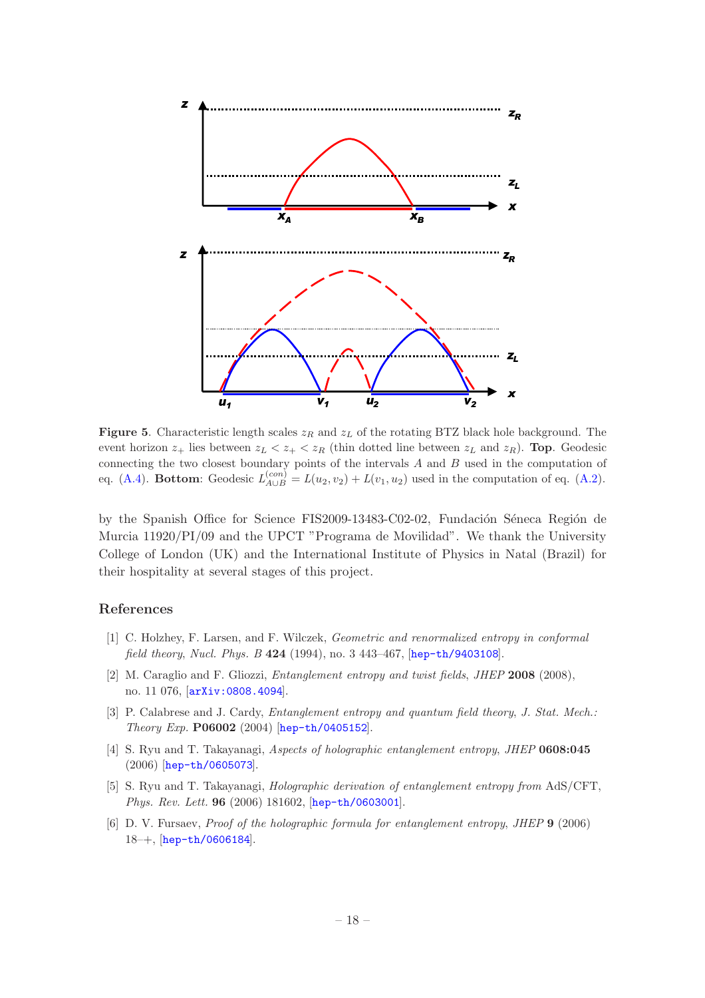

**Figure 5.** Characteristic length scales  $z_R$  and  $z_L$  of the rotating BTZ black hole background. The event horizon  $z_+$  lies between  $z_L < z_+ < z_R$  (thin dotted line between  $z_L$  and  $z_R$ ). **Top.** Geodesic connecting the two closest boundary points of the intervals A and B used in the computation of eq. [\(A.4\)](#page-17-3). Bottom: Geodesic  $L_{A\cup B}^{(con)} = L(u_2, v_2) + L(v_1, u_2)$  used in the computation of eq. [\(A.2\)](#page-17-1).

by the Spanish Office for Science FIS2009-13483-C02-02, Fundación Séneca Región de Murcia 11920/PI/09 and the UPCT "Programa de Movilidad". We thank the University College of London (UK) and the International Institute of Physics in Natal (Brazil) for their hospitality at several stages of this project.

#### References

- <span id="page-18-0"></span>[1] C. Holzhey, F. Larsen, and F. Wilczek, Geometric and renormalized entropy in conformal field theory, Nucl. Phys. B 424 (1994), no. 3 443–467, [[hep-th/9403108](http://xxx.lanl.gov/abs/hep-th/9403108)].
- [2] M. Caraglio and F. Gliozzi, Entanglement entropy and twist fields, JHEP 2008 (2008), no. 11 076, [[arXiv:0808.4094](http://xxx.lanl.gov/abs/0808.4094)].
- <span id="page-18-1"></span>[3] P. Calabrese and J. Cardy, *Entanglement entropy and quantum field theory*, *J. Stat. Mech.*: Theory Exp. P06002 (2004) [[hep-th/0405152](http://xxx.lanl.gov/abs/hep-th/0405152)].
- <span id="page-18-2"></span>[4] S. Ryu and T. Takayanagi, Aspects of holographic entanglement entropy, JHEP 0608:045 (2006) [[hep-th/0605073](http://xxx.lanl.gov/abs/hep-th/0605073)].
- <span id="page-18-3"></span>[5] S. Ryu and T. Takayanagi, Holographic derivation of entanglement entropy from AdS/CFT, Phys. Rev. Lett. 96 (2006) 181602, [[hep-th/0603001](http://xxx.lanl.gov/abs/hep-th/0603001)].
- <span id="page-18-4"></span>[6] D. V. Fursaev, Proof of the holographic formula for entanglement entropy, JHEP 9 (2006) 18–+, [[hep-th/0606184](http://xxx.lanl.gov/abs/hep-th/0606184)].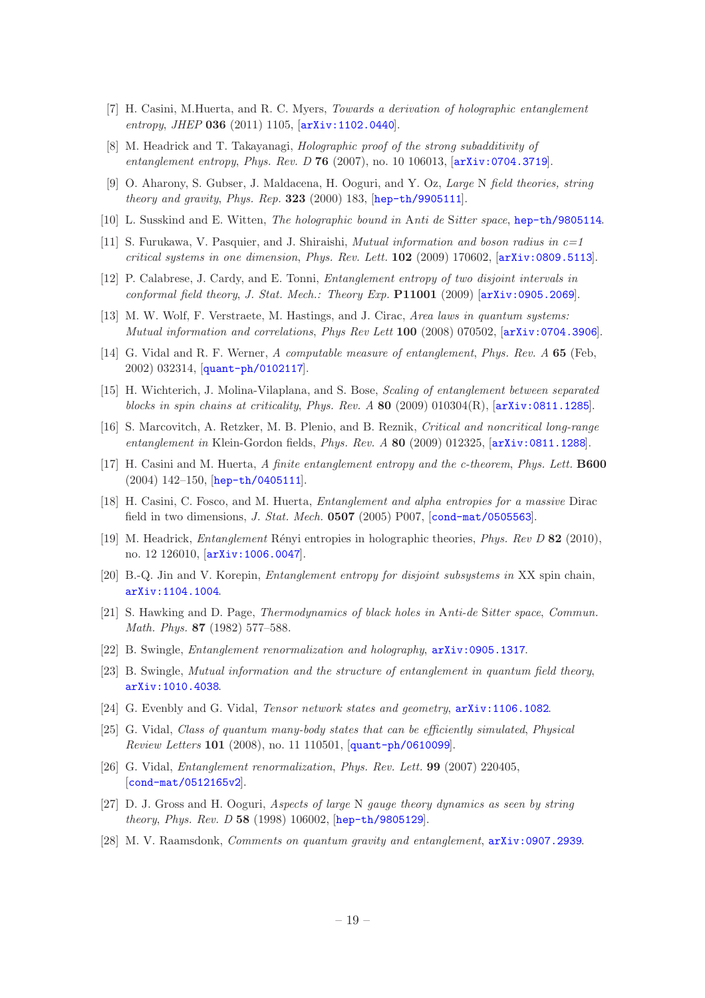- <span id="page-19-2"></span>[7] H. Casini, M.Huerta, and R. C. Myers, Towards a derivation of holographic entanglement entropy, JHEP 036 (2011) 1105, [[arXiv:1102.0440](http://xxx.lanl.gov/abs/1102.0440)].
- <span id="page-19-0"></span>[8] M. Headrick and T. Takayanagi, Holographic proof of the strong subadditivity of entanglement entropy, Phys. Rev. D 76 (2007), no. 10 106013,  $[ary:0704.3719]$ .
- <span id="page-19-1"></span>[9] O. Aharony, S. Gubser, J. Maldacena, H. Ooguri, and Y. Oz, Large N field theories, string theory and gravity, Phys. Rep.  $323$  (2000) 183, [[hep-th/9905111](http://xxx.lanl.gov/abs/hep-th/9905111)].
- <span id="page-19-3"></span>[10] L. Susskind and E. Witten, The holographic bound in Anti de Sitter space, [hep-th/9805114](http://xxx.lanl.gov/abs/hep-th/9805114).
- <span id="page-19-4"></span>[11] S. Furukawa, V. Pasquier, and J. Shiraishi, *Mutual information and boson radius in*  $c=1$ critical systems in one dimension, Phys. Rev. Lett.  $102$  (2009) 170602,  $[array:10809.5113]$ .
- <span id="page-19-5"></span>[12] P. Calabrese, J. Cardy, and E. Tonni, Entanglement entropy of two disjoint intervals in conformal field theory, J. Stat. Mech.: Theory Exp. P11001 (2009) [[arXiv:0905.2069](http://xxx.lanl.gov/abs/0905.2069)].
- <span id="page-19-6"></span>[13] M. W. Wolf, F. Verstraete, M. Hastings, and J. Cirac, Area laws in quantum systems: Mutual information and correlations, Phys Rev Lett 100 (2008) 070502, [[arXiv:0704.3906](http://xxx.lanl.gov/abs/0704.3906)].
- <span id="page-19-7"></span>[14] G. Vidal and R. F. Werner, A computable measure of entanglement, Phys. Rev. A 65 (Feb, 2002) 032314, [[quant-ph/0102117](http://xxx.lanl.gov/abs/quant-ph/0102117)].
- <span id="page-19-10"></span>[15] H. Wichterich, J. Molina-Vilaplana, and S. Bose, Scaling of entanglement between separated blocks in spin chains at criticality, Phys. Rev.  $A \, 80 \, (2009) \, 010304(R)$ ,  $[\text{arXiv:0811.1285}]$  $[\text{arXiv:0811.1285}]$  $[\text{arXiv:0811.1285}]$ .
- <span id="page-19-11"></span>[16] S. Marcovitch, A. Retzker, M. B. Plenio, and B. Reznik, Critical and noncritical long-range entanglement in Klein-Gordon fields, Phys. Rev. A 80 (2009) 012325, [[arXiv:0811.1288](http://xxx.lanl.gov/abs/0811.1288)].
- <span id="page-19-8"></span>[17] H. Casini and M. Huerta, A finite entanglement entropy and the c-theorem, Phys. Lett. B600 (2004) 142–150, [[hep-th/0405111](http://xxx.lanl.gov/abs/hep-th/0405111)].
- <span id="page-19-9"></span>[18] H. Casini, C. Fosco, and M. Huerta, Entanglement and alpha entropies for a massive Dirac field in two dimensions, *J. Stat. Mech.* **0507** (2005) P007, [[cond-mat/0505563](http://xxx.lanl.gov/abs/cond-mat/0505563)].
- <span id="page-19-12"></span>[19] M. Headrick, *Entanglement* Rényi entropies in holographic theories, *Phys. Rev D* 82 (2010), no. 12 126010, [[arXiv:1006.0047](http://xxx.lanl.gov/abs/1006.0047)].
- <span id="page-19-13"></span>[20] B.-Q. Jin and V. Korepin, Entanglement entropy for disjoint subsystems in XX spin chain, [arXiv:1104.1004](http://xxx.lanl.gov/abs/1104.1004).
- <span id="page-19-14"></span>[21] S. Hawking and D. Page, Thermodynamics of black holes in Anti-de Sitter space, Commun. Math. Phys. 87 (1982) 577–588.
- <span id="page-19-15"></span>[22] B. Swingle, Entanglement renormalization and holography, [arXiv:0905.1317](http://xxx.lanl.gov/abs/0905.1317).
- [23] B. Swingle, Mutual information and the structure of entanglement in quantum field theory, [arXiv:1010.4038](http://xxx.lanl.gov/abs/1010.4038).
- <span id="page-19-16"></span>[24] G. Evenbly and G. Vidal, Tensor network states and geometry, [arXiv:1106.1082](http://xxx.lanl.gov/abs/1106.1082).
- <span id="page-19-17"></span>[25] G. Vidal, Class of quantum many-body states that can be efficiently simulated, Physical Review Letters 101 (2008), no. 11 110501, [[quant-ph/0610099](http://xxx.lanl.gov/abs/quant-ph/0610099)].
- <span id="page-19-18"></span>[26] G. Vidal, Entanglement renormalization, Phys. Rev. Lett. 99 (2007) 220405, [[cond-mat/0512165v2](http://xxx.lanl.gov/abs/cond-mat/0512165v2)].
- <span id="page-19-19"></span>[27] D. J. Gross and H. Ooguri, Aspects of large N gauge theory dynamics as seen by string theory, Phys. Rev. D 58 (1998) 106002, [[hep-th/9805129](http://xxx.lanl.gov/abs/hep-th/9805129)].
- <span id="page-19-20"></span>[28] M. V. Raamsdonk, Comments on quantum gravity and entanglement, [arXiv:0907.2939](http://xxx.lanl.gov/abs/0907.2939).